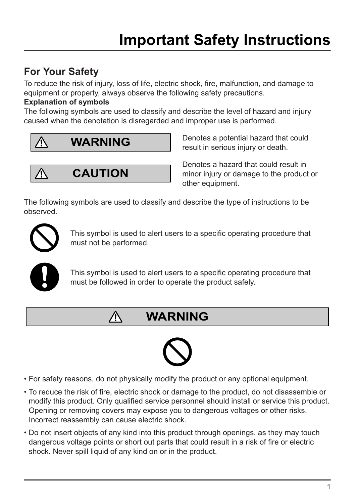### **For Your Safety**

To reduce the risk of injury, loss of life, electric shock, fire, malfunction, and damage to equipment or property, always observe the following safety precautions.

#### **Explanation of symbols**

The following symbols are used to classify and describe the level of hazard and injury caused when the denotation is disregarded and improper use is performed.



**CAUTION**

Λ

Denotes a potential hazard that could result in serious injury or death.

Denotes a hazard that could result in minor injury or damage to the product or other equipment.

The following symbols are used to classify and describe the type of instructions to be observed.



This symbol is used to alert users to a specific operating procedure that must not be performed.



This symbol is used to alert users to a specific operating procedure that must be followed in order to operate the product safely.

## **WARNING**



- For safety reasons, do not physically modify the product or any optional equipment.
- To reduce the risk of fire, electric shock or damage to the product, do not disassemble or modify this product. Only qualified service personnel should install or service this product. Opening or removing covers may expose you to dangerous voltages or other risks. Incorrect reassembly can cause electric shock.
- Do not insert objects of any kind into this product through openings, as they may touch dangerous voltage points or short out parts that could result in a risk of fire or electric shock. Never spill liquid of any kind on or in the product.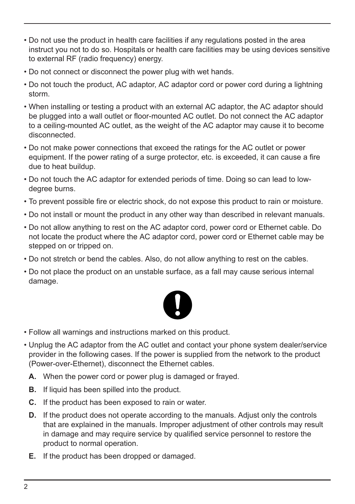- Do not use the product in health care facilities if any regulations posted in the area instruct you not to do so. Hospitals or health care facilities may be using devices sensitive to external RF (radio frequency) energy.
- Do not connect or disconnect the power plug with wet hands.
- Do not touch the product, AC adaptor, AC adaptor cord or power cord during a lightning storm.
- When installing or testing a product with an external AC adaptor, the AC adaptor should be plugged into a wall outlet or floor-mounted AC outlet. Do not connect the AC adaptor to a ceiling-mounted AC outlet, as the weight of the AC adaptor may cause it to become disconnected.
- Do not make power connections that exceed the ratings for the AC outlet or power equipment. If the power rating of a surge protector, etc. is exceeded, it can cause a fire due to heat buildup.
- Do not touch the AC adaptor for extended periods of time. Doing so can lead to lowdegree burns.
- To prevent possible fire or electric shock, do not expose this product to rain or moisture.
- Do not install or mount the product in any other way than described in relevant manuals.
- Do not allow anything to rest on the AC adaptor cord, power cord or Ethernet cable. Do not locate the product where the AC adaptor cord, power cord or Ethernet cable may be stepped on or tripped on.
- Do not stretch or bend the cables. Also, do not allow anything to rest on the cables.
- Do not place the product on an unstable surface, as a fall may cause serious internal damage.



- Follow all warnings and instructions marked on this product.
- Unplug the AC adaptor from the AC outlet and contact your phone system dealer/service provider in the following cases. If the power is supplied from the network to the product (Power-over-Ethernet), disconnect the Ethernet cables.
	- **A.** When the power cord or power plug is damaged or frayed.
	- **B.** If liquid has been spilled into the product.
	- **C.** If the product has been exposed to rain or water.
	- **D.** If the product does not operate according to the manuals. Adjust only the controls that are explained in the manuals. Improper adjustment of other controls may result in damage and may require service by qualified service personnel to restore the product to normal operation.
	- **E.** If the product has been dropped or damaged.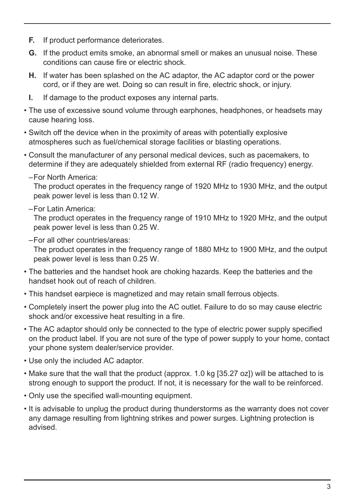- **F.** If product performance deteriorates.
- **G.** If the product emits smoke, an abnormal smell or makes an unusual noise. These conditions can cause fire or electric shock.
- **H.** If water has been splashed on the AC adaptor, the AC adaptor cord or the power cord, or if they are wet. Doing so can result in fire, electric shock, or injury.
- **I.** If damage to the product exposes any internal parts.
- The use of excessive sound volume through earphones, headphones, or headsets may cause hearing loss.
- Switch off the device when in the proximity of areas with potentially explosive atmospheres such as fuel/chemical storage facilities or blasting operations.
- Consult the manufacturer of any personal medical devices, such as pacemakers, to determine if they are adequately shielded from external RF (radio frequency) energy.
	- –For North America:

The product operates in the frequency range of 1920 MHz to 1930 MHz, and the output peak power level is less than 0.12 W.

–For Latin America:

The product operates in the frequency range of 1910 MHz to 1920 MHz, and the output peak power level is less than 0.25 W.

–For all other countries/areas:

The product operates in the frequency range of 1880 MHz to 1900 MHz, and the output peak power level is less than 0.25 W.

- The batteries and the handset hook are choking hazards. Keep the batteries and the handset hook out of reach of children.
- This handset earpiece is magnetized and may retain small ferrous objects.
- Completely insert the power plug into the AC outlet. Failure to do so may cause electric shock and/or excessive heat resulting in a fire.
- The AC adaptor should only be connected to the type of electric power supply specified on the product label. If you are not sure of the type of power supply to your home, contact your phone system dealer/service provider.
- Use only the included AC adaptor.
- Make sure that the wall that the product (approx. 1.0 kg [35.27 oz]) will be attached to is strong enough to support the product. If not, it is necessary for the wall to be reinforced.
- Only use the specified wall-mounting equipment.
- It is advisable to unplug the product during thunderstorms as the warranty does not cover any damage resulting from lightning strikes and power surges. Lightning protection is advised.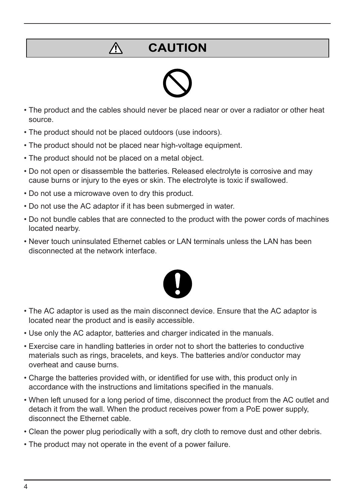## **CAUTION**



- The product and the cables should never be placed near or over a radiator or other heat source.
- The product should not be placed outdoors (use indoors).
- The product should not be placed near high-voltage equipment.
- The product should not be placed on a metal object.

 $\bigwedge$ 

- Do not open or disassemble the batteries. Released electrolyte is corrosive and may cause burns or injury to the eyes or skin. The electrolyte is toxic if swallowed.
- Do not use a microwave oven to dry this product.
- Do not use the AC adaptor if it has been submerged in water.
- Do not bundle cables that are connected to the product with the power cords of machines located nearby.
- Never touch uninsulated Ethernet cables or LAN terminals unless the LAN has been disconnected at the network interface.



- The AC adaptor is used as the main disconnect device. Ensure that the AC adaptor is located near the product and is easily accessible.
- Use only the AC adaptor, batteries and charger indicated in the manuals.
- Exercise care in handling batteries in order not to short the batteries to conductive materials such as rings, bracelets, and keys. The batteries and/or conductor may overheat and cause burns.
- Charge the batteries provided with, or identified for use with, this product only in accordance with the instructions and limitations specified in the manuals.
- When left unused for a long period of time, disconnect the product from the AC outlet and detach it from the wall. When the product receives power from a PoE power supply, disconnect the Ethernet cable.
- Clean the power plug periodically with a soft, dry cloth to remove dust and other debris.
- The product may not operate in the event of a power failure.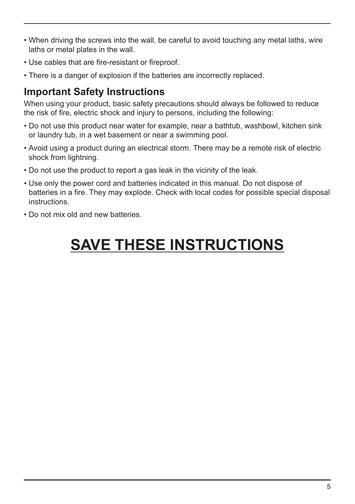- When driving the screws into the wall, be careful to avoid touching any metal laths, wire laths or metal plates in the wall.
- Use cables that are fire-resistant or fireproof.
- There is a danger of explosion if the batteries are incorrectly replaced.

### **Important Safety Instructions**

When using your product, basic safety precautions should always be followed to reduce the risk of fire, electric shock and injury to persons, including the following:

- Do not use this product near water for example, near a bathtub, washbowl, kitchen sink or laundry tub, in a wet basement or near a swimming pool.
- Avoid using a product during an electrical storm. There may be a remote risk of electric shock from lightning.
- Do not use the product to report a gas leak in the vicinity of the leak.
- Use only the power cord and batteries indicated in this manual. Do not dispose of batteries in a fire. They may explode. Check with local codes for possible special disposal instructions.
- Do not mix old and new batteries.

# **SAVE THESE INSTRUCTIONS**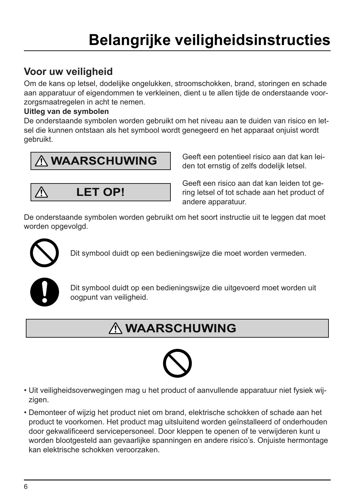# **Belangrijke veiligheidsinstructies**

### **Voor uw veiligheid**

Om de kans op letsel, dodelijke ongelukken, stroomschokken, brand, storingen en schade aan apparatuur of eigendommen te verkleinen, dient u te allen tijde de onderstaande voorzorgsmaatregelen in acht te nemen.

#### **Uitleg van de symbolen**

De onderstaande symbolen worden gebruikt om het niveau aan te duiden van risico en letsel die kunnen ontstaan als het symbool wordt genegeerd en het apparaat onjuist wordt gebruikt.

## **WAARSCHUWING**

**LET OP!**

Geeft een potentieel risico aan dat kan leiden tot ernstig of zelfs dodelijk letsel.

Geeft een risico aan dat kan leiden tot gering letsel of tot schade aan het product of andere apparatuur.

De onderstaande symbolen worden gebruikt om het soort instructie uit te leggen dat moet worden opgevolgd.



Λ

Dit symbool duidt op een bedieningswijze die moet worden vermeden.



Dit symbool duidt op een bedieningswijze die uitgevoerd moet worden uit oogpunt van veiligheid.

## **WAARSCHUWING**



- Uit veiligheidsoverwegingen mag u het product of aanvullende apparatuur niet fysiek wijzigen.
- Demonteer of wijzig het product niet om brand, elektrische schokken of schade aan het product te voorkomen. Het product mag uitsluitend worden geïnstalleerd of onderhouden door gekwalificeerd servicepersoneel. Door kleppen te openen of te verwijderen kunt u worden blootgesteld aan gevaarlijke spanningen en andere risico's. Onjuiste hermontage kan elektrische schokken veroorzaken.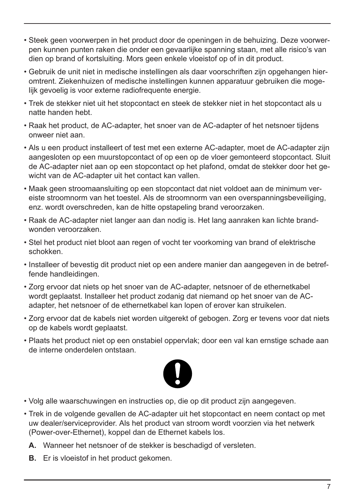- Steek geen voorwerpen in het product door de openingen in de behuizing. Deze voorwerpen kunnen punten raken die onder een gevaarlijke spanning staan, met alle risico's van dien op brand of kortsluiting. Mors geen enkele vloeistof op of in dit product.
- Gebruik de unit niet in medische instellingen als daar voorschriften zijn opgehangen hieromtrent. Ziekenhuizen of medische instellingen kunnen apparatuur gebruiken die mogelijk gevoelig is voor externe radiofrequente energie.
- Trek de stekker niet uit het stopcontact en steek de stekker niet in het stopcontact als u natte handen hebt.
- Raak het product, de AC-adapter, het snoer van de AC-adapter of het netsnoer tijdens onweer niet aan.
- Als u een product installeert of test met een externe AC-adapter, moet de AC-adapter zijn aangesloten op een muurstopcontact of op een op de vloer gemonteerd stopcontact. Sluit de AC-adapter niet aan op een stopcontact op het plafond, omdat de stekker door het gewicht van de AC-adapter uit het contact kan vallen.
- Maak geen stroomaansluiting op een stopcontact dat niet voldoet aan de minimum vereiste stroomnorm van het toestel. Als de stroomnorm van een overspanningsbeveiliging, enz. wordt overschreden, kan de hitte opstapeling brand veroorzaken.
- Raak de AC-adapter niet langer aan dan nodig is. Het lang aanraken kan lichte brandwonden veroorzaken.
- Stel het product niet bloot aan regen of vocht ter voorkoming van brand of elektrische schokken.
- Installeer of bevestig dit product niet op een andere manier dan aangegeven in de betreffende handleidingen.
- Zorg ervoor dat niets op het snoer van de AC-adapter, netsnoer of de ethernetkabel wordt geplaatst. Installeer het product zodanig dat niemand op het snoer van de ACadapter, het netsnoer of de ethernetkabel kan lopen of erover kan struikelen.
- Zorg ervoor dat de kabels niet worden uitgerekt of gebogen. Zorg er tevens voor dat niets op de kabels wordt geplaatst.
- Plaats het product niet op een onstabiel oppervlak; door een val kan ernstige schade aan de interne onderdelen ontstaan.



- Volg alle waarschuwingen en instructies op, die op dit product zijn aangegeven.
- Trek in de volgende gevallen de AC-adapter uit het stopcontact en neem contact op met uw dealer/serviceprovider. Als het product van stroom wordt voorzien via het netwerk (Power-over-Ethernet), koppel dan de Ethernet kabels los.
	- **A.** Wanneer het netsnoer of de stekker is beschadigd of versleten.
	- **B.** Er is vloeistof in het product gekomen.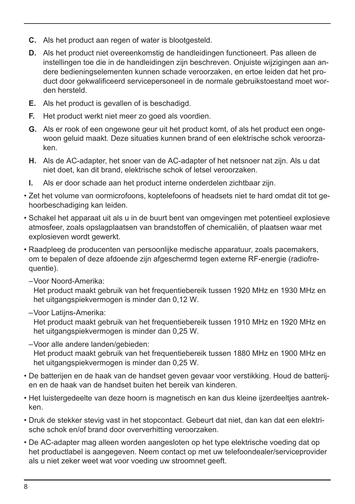- **C.** Als het product aan regen of water is blootgesteld.
- **D.** Als het product niet overeenkomstig de handleidingen functioneert. Pas alleen de instellingen toe die in de handleidingen zijn beschreven. Onjuiste wijzigingen aan andere bedieningselementen kunnen schade veroorzaken, en ertoe leiden dat het product door gekwalificeerd servicepersoneel in de normale gebruikstoestand moet worden hersteld.
- **E.** Als het product is gevallen of is beschadigd.
- **F.** Het product werkt niet meer zo goed als voordien.
- **G.** Als er rook of een ongewone geur uit het product komt, of als het product een ongewoon geluid maakt. Deze situaties kunnen brand of een elektrische schok veroorzaken.
- **H.** Als de AC-adapter, het snoer van de AC-adapter of het netsnoer nat zijn. Als u dat niet doet, kan dit brand, elektrische schok of letsel veroorzaken.
- **I.** Als er door schade aan het product interne onderdelen zichtbaar zijn.
- Zet het volume van oormicrofoons, koptelefoons of headsets niet te hard omdat dit tot gehoorbeschadiging kan leiden.
- Schakel het apparaat uit als u in de buurt bent van omgevingen met potentieel explosieve atmosfeer, zoals opslagplaatsen van brandstoffen of chemicaliën, of plaatsen waar met explosieven wordt gewerkt.
- Raadpleeg de producenten van persoonlijke medische apparatuur, zoals pacemakers, om te bepalen of deze afdoende zijn afgeschermd tegen externe RF-energie (radiofrequentie).
	- –Voor Noord-Amerika:

Het product maakt gebruik van het frequentiebereik tussen 1920 MHz en 1930 MHz en het uitgangspiekvermogen is minder dan 0,12 W.

–Voor Latijns-Amerika:

Het product maakt gebruik van het frequentiebereik tussen 1910 MHz en 1920 MHz en het uitgangspiekvermogen is minder dan 0,25 W.

- –Voor alle andere landen/gebieden: Het product maakt gebruik van het frequentiebereik tussen 1880 MHz en 1900 MHz en het uitgangspiekvermogen is minder dan 0,25 W.
- De batterijen en de haak van de handset geven gevaar voor verstikking. Houd de batterijen en de haak van de handset buiten het bereik van kinderen.
- Het luistergedeelte van deze hoorn is magnetisch en kan dus kleine ijzerdeeltjes aantrekken.
- Druk de stekker stevig vast in het stopcontact. Gebeurt dat niet, dan kan dat een elektrische schok en/of brand door oververhitting veroorzaken.
- De AC-adapter mag alleen worden aangesloten op het type elektrische voeding dat op het productlabel is aangegeven. Neem contact op met uw telefoondealer/serviceprovider als u niet zeker weet wat voor voeding uw stroomnet geeft.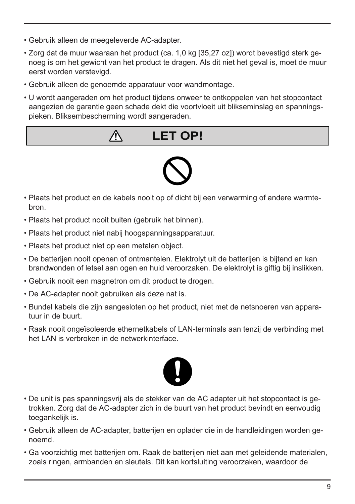- Gebruik alleen de meegeleverde AC-adapter.
- Zorg dat de muur waaraan het product (ca. 1,0 kg [35,27 oz]) wordt bevestigd sterk genoeg is om het gewicht van het product te dragen. Als dit niet het geval is, moet de muur eerst worden verstevigd.
- Gebruik alleen de genoemde apparatuur voor wandmontage.
- U wordt aangeraden om het product tijdens onweer te ontkoppelen van het stopcontact aangezien de garantie geen schade dekt die voortvloeit uit blikseminslag en spanningspieken. Bliksembescherming wordt aangeraden.

## **LET OP!**



- Plaats het product en de kabels nooit op of dicht bij een verwarming of andere warmtebron.
- Plaats het product nooit buiten (gebruik het binnen).

Л

- Plaats het product niet nabij hoogspanningsapparatuur.
- Plaats het product niet op een metalen object.
- De batterijen nooit openen of ontmantelen. Elektrolyt uit de batterijen is bijtend en kan brandwonden of letsel aan ogen en huid veroorzaken. De elektrolyt is giftig bij inslikken.
- Gebruik nooit een magnetron om dit product te drogen.
- De AC-adapter nooit gebruiken als deze nat is.
- Bundel kabels die zijn aangesloten op het product, niet met de netsnoeren van apparatuur in de buurt.
- Raak nooit ongeïsoleerde ethernetkabels of LAN-terminals aan tenzij de verbinding met het LAN is verbroken in de netwerkinterface.



- De unit is pas spanningsvrij als de stekker van de AC adapter uit het stopcontact is getrokken. Zorg dat de AC-adapter zich in de buurt van het product bevindt en eenvoudig toegankelijk is.
- Gebruik alleen de AC-adapter, batterijen en oplader die in de handleidingen worden genoemd.
- Ga voorzichtig met batterijen om. Raak de batterijen niet aan met geleidende materialen, zoals ringen, armbanden en sleutels. Dit kan kortsluiting veroorzaken, waardoor de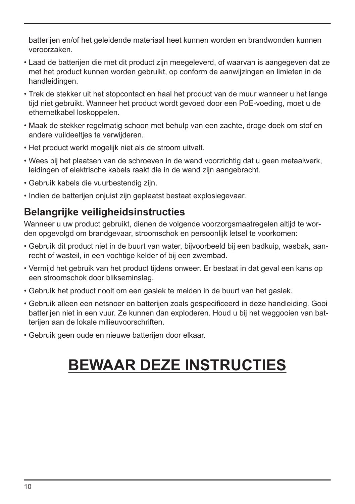batterijen en/of het geleidende materiaal heet kunnen worden en brandwonden kunnen veroorzaken.

- Laad de batterijen die met dit product zijn meegeleverd, of waarvan is aangegeven dat ze met het product kunnen worden gebruikt, op conform de aanwijzingen en limieten in de handleidingen.
- Trek de stekker uit het stopcontact en haal het product van de muur wanneer u het lange tijd niet gebruikt. Wanneer het product wordt gevoed door een PoE-voeding, moet u de ethernetkabel loskoppelen.
- Maak de stekker regelmatig schoon met behulp van een zachte, droge doek om stof en andere vuildeeltjes te verwijderen.
- Het product werkt mogelijk niet als de stroom uitvalt.
- Wees bij het plaatsen van de schroeven in de wand voorzichtig dat u geen metaalwerk, leidingen of elektrische kabels raakt die in de wand zijn aangebracht.
- Gebruik kabels die vuurbestendig zijn.
- Indien de batterijen onjuist zijn geplaatst bestaat explosiegevaar.

### **Belangrijke veiligheidsinstructies**

Wanneer u uw product gebruikt, dienen de volgende voorzorgsmaatregelen altijd te worden opgevolgd om brandgevaar, stroomschok en persoonlijk letsel te voorkomen:

- Gebruik dit product niet in de buurt van water, bijvoorbeeld bij een badkuip, wasbak, aanrecht of wasteil, in een vochtige kelder of bij een zwembad.
- Vermijd het gebruik van het product tijdens onweer. Er bestaat in dat geval een kans op een stroomschok door blikseminslag.
- Gebruik het product nooit om een gaslek te melden in de buurt van het gaslek.
- Gebruik alleen een netsnoer en batterijen zoals gespecificeerd in deze handleiding. Gooi batterijen niet in een vuur. Ze kunnen dan exploderen. Houd u bij het weggooien van batterijen aan de lokale milieuvoorschriften.
- Gebruik geen oude en nieuwe batterijen door elkaar.

# **BEWAAR DEZE INSTRUCTIES**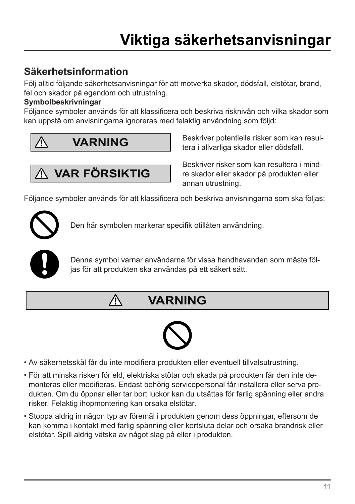### **Säkerhetsinformation**

Följ alltid följande säkerhetsanvisningar för att motverka skador, dödsfall, elstötar, brand, fel och skador på egendom och utrustning.

#### **Symbolbeskrivningar**

Följande symboler används för att klassificera och beskriva risknivån och vilka skador som kan uppstå om anvisningarna ignoreras med felaktig användning som följd:



 **VAR FÖRSIKTIG**

⁄^

Beskriver potentiella risker som kan resultera i allvarliga skador eller dödsfall.

Beskriver risker som kan resultera i mindre skador eller skador på produkten eller annan utrustning.

Följande symboler används för att klassificera och beskriva anvisningarna som ska följas:



Den här symbolen markerar specifik otillåten användning.



Denna symbol varnar användarna för vissa handhavanden som måste följas för att produkten ska användas på ett säkert sätt.

**VARNING**



- Av säkerhetsskäl får du inte modifiera produkten eller eventuell tillvalsutrustning.
- För att minska risken för eld, elektriska stötar och skada på produkten får den inte demonteras eller modifieras. Endast behörig servicepersonal får installera eller serva produkten. Om du öppnar eller tar bort luckor kan du utsättas för farlig spänning eller andra risker. Felaktig ihopmontering kan orsaka elstötar.
- Stoppa aldrig in någon typ av föremål i produkten genom dess öppningar, eftersom de kan komma i kontakt med farlig spänning eller kortsluta delar och orsaka brandrisk eller elstötar. Spill aldrig vätska av något slag på eller i produkten.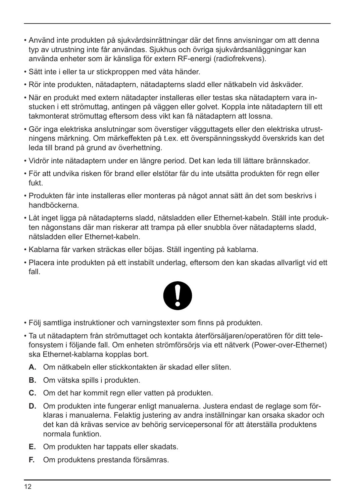- Använd inte produkten på sjukvårdsinrättningar där det finns anvisningar om att denna typ av utrustning inte får användas. Sjukhus och övriga sjukvårdsanläggningar kan använda enheter som är känsliga för extern RF-energi (radiofrekvens).
- Sätt inte i eller ta ur stickproppen med våta händer.
- Rör inte produkten, nätadaptern, nätadapterns sladd eller nätkabeln vid åskväder.
- När en produkt med extern nätadapter installeras eller testas ska nätadaptern vara instucken i ett strömuttag, antingen på väggen eller golvet. Koppla inte nätadaptern till ett takmonterat strömuttag eftersom dess vikt kan få nätadaptern att lossna.
- Gör inga elektriska anslutningar som överstiger vägguttagets eller den elektriska utrustningens märkning. Om märkeffekten på t.ex. ett överspänningsskydd överskrids kan det leda till brand på grund av överhettning.
- Vidrör inte nätadaptern under en längre period. Det kan leda till lättare brännskador.
- För att undvika risken för brand eller elstötar får du inte utsätta produkten för regn eller fukt.
- Produkten får inte installeras eller monteras på något annat sätt än det som beskrivs i handböckerna.
- Låt inget ligga på nätadapterns sladd, nätsladden eller Ethernet-kabeln. Ställ inte produkten någonstans där man riskerar att trampa på eller snubbla över nätadapterns sladd, nätsladden eller Ethernet-kabeln.
- Kablarna får varken sträckas eller böjas. Ställ ingenting på kablarna.
- Placera inte produkten på ett instabilt underlag, eftersom den kan skadas allvarligt vid ett fall.



- Följ samtliga instruktioner och varningstexter som finns på produkten.
- Ta ut nätadaptern från strömuttaget och kontakta återförsäljaren/operatören för ditt telefonsystem i följande fall. Om enheten strömförsörjs via ett nätverk (Power-over-Ethernet) ska Ethernet-kablarna kopplas bort.
	- **A.** Om nätkabeln eller stickkontakten är skadad eller sliten.
	- **B.** Om vätska spills i produkten.
	- **C.** Om det har kommit regn eller vatten på produkten.
	- **D.** Om produkten inte fungerar enligt manualerna. Justera endast de reglage som förklaras i manualerna. Felaktig justering av andra inställningar kan orsaka skador och det kan då krävas service av behörig servicepersonal för att återställa produktens normala funktion.
	- **E.** Om produkten har tappats eller skadats.
	- **F.** Om produktens prestanda försämras.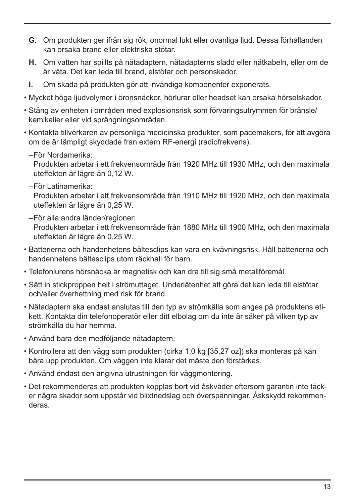- **G.** Om produkten ger ifrån sig rök, onormal lukt eller ovanliga ljud. Dessa förhållanden kan orsaka brand eller elektriska stötar.
- **H.** Om vatten har spillts på nätadaptern, nätadapterns sladd eller nätkabeln, eller om de är våta. Det kan leda till brand, elstötar och personskador.
- **I.** Om skada på produkten gör att invändiga komponenter exponerats.
- Mycket höga ljudvolymer i öronsnäckor, hörlurar eller headset kan orsaka hörselskador.
- Stäng av enheten i områden med explosionsrisk som förvaringsutrymmen för bränsle/ kemikalier eller vid sprängningsområden.
- Kontakta tillverkaren av personliga medicinska produkter, som pacemakers, för att avgöra om de är lämpligt skyddade från extern RF-energi (radiofrekvens).
	- –För Nordamerika:

Produkten arbetar i ett frekvensområde från 1920 MHz till 1930 MHz, och den maximala uteffekten är lägre än 0,12 W.

–För Latinamerika:

Produkten arbetar i ett frekvensområde från 1910 MHz till 1920 MHz, och den maximala uteffekten är lägre än 0,25 W.

- –För alla andra länder/regioner: Produkten arbetar i ett frekvensområde från 1880 MHz till 1900 MHz, och den maximala uteffekten är lägre än 0,25 W.
- Batterierna och handenhetens bältesclips kan vara en kvävningsrisk. Håll batterierna och handenhetens bältesclips utom räckhåll för barn.
- Telefonlurens hörsnäcka är magnetisk och kan dra till sig små metallföremål.
- Sätt in stickproppen helt i strömuttaget. Underlåtenhet att göra det kan leda till elstötar och/eller överhettning med risk för brand.
- Nätadaptern ska endast anslutas till den typ av strömkälla som anges på produktens etikett. Kontakta din telefonoperatör eller ditt elbolag om du inte är säker på vilken typ av strömkälla du har hemma.
- Använd bara den medföljande nätadaptern.
- Kontrollera att den vägg som produkten (cirka 1,0 kg [35,27 oz]) ska monteras på kan bära upp produkten. Om väggen inte klarar det måste den förstärkas.
- Använd endast den angivna utrustningen för väggmontering.
- Det rekommenderas att produkten kopplas bort vid åskväder eftersom garantin inte täcker några skador som uppstår vid blixtnedslag och överspänningar. Åskskydd rekommenderas.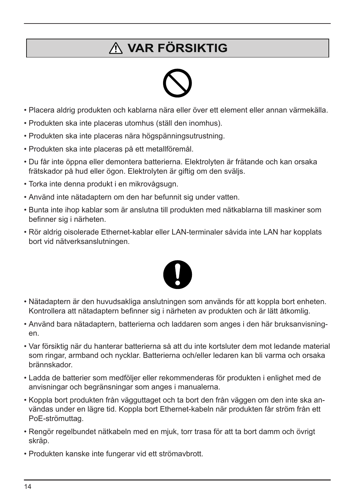## **VAR FÖRSIKTIG**



- Placera aldrig produkten och kablarna nära eller över ett element eller annan värmekälla.
- Produkten ska inte placeras utomhus (ställ den inomhus).
- Produkten ska inte placeras nära högspänningsutrustning.
- Produkten ska inte placeras på ett metallföremål.
- Du får inte öppna eller demontera batterierna. Elektrolyten är frätande och kan orsaka frätskador på hud eller ögon. Elektrolyten är giftig om den sväljs.
- Torka inte denna produkt i en mikrovågsugn.
- Använd inte nätadaptern om den har befunnit sig under vatten.
- Bunta inte ihop kablar som är anslutna till produkten med nätkablarna till maskiner som befinner sig i närheten.
- Rör aldrig oisolerade Ethernet-kablar eller LAN-terminaler såvida inte LAN har kopplats bort vid nätverksanslutningen.



- Nätadaptern är den huvudsakliga anslutningen som används för att koppla bort enheten. Kontrollera att nätadaptern befinner sig i närheten av produkten och är lätt åtkomlig.
- Använd bara nätadaptern, batterierna och laddaren som anges i den här bruksanvisningen.
- Var försiktig när du hanterar batterierna så att du inte kortsluter dem mot ledande material som ringar, armband och nycklar. Batterierna och/eller ledaren kan bli varma och orsaka brännskador.
- Ladda de batterier som medföljer eller rekommenderas för produkten i enlighet med de anvisningar och begränsningar som anges i manualerna.
- Koppla bort produkten från vägguttaget och ta bort den från väggen om den inte ska användas under en lägre tid. Koppla bort Ethernet-kabeln när produkten får ström från ett PoE-strömuttag.
- Rengör regelbundet nätkabeln med en mjuk, torr trasa för att ta bort damm och övrigt skräp.
- Produkten kanske inte fungerar vid ett strömavbrott.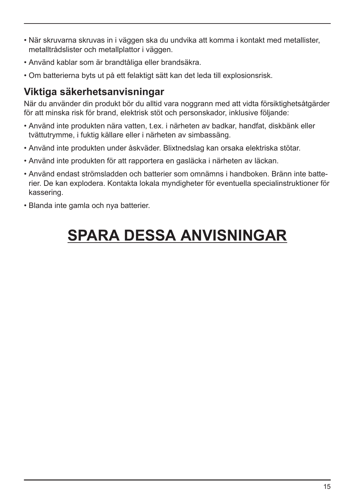- När skruvarna skruvas in i väggen ska du undvika att komma i kontakt med metallister, metalltrådslister och metallplattor i väggen.
- Använd kablar som är brandtåliga eller brandsäkra.
- Om batterierna byts ut på ett felaktigt sätt kan det leda till explosionsrisk.

### **Viktiga säkerhetsanvisningar**

När du använder din produkt bör du alltid vara noggrann med att vidta försiktighetsåtgärder för att minska risk för brand, elektrisk stöt och personskador, inklusive följande:

- Använd inte produkten nära vatten, t.ex. i närheten av badkar, handfat, diskbänk eller tvättutrymme, i fuktig källare eller i närheten av simbassäng.
- Använd inte produkten under åskväder. Blixtnedslag kan orsaka elektriska stötar.
- Använd inte produkten för att rapportera en gasläcka i närheten av läckan.
- Använd endast strömsladden och batterier som omnämns i handboken. Bränn inte batterier. De kan explodera. Kontakta lokala myndigheter för eventuella specialinstruktioner för kassering.
- Blanda inte gamla och nya batterier.

# **SPARA DESSA ANVISNINGAR**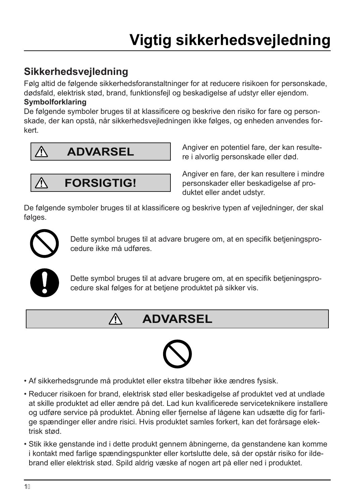### **Sikkerhedsvejledning**

Følg altid de følgende sikkerhedsforanstaltninger for at reducere risikoen for personskade, dødsfald, elektrisk stød, brand, funktionsfejl og beskadigelse af udstyr eller ejendom. **Symbolforklaring**

De følgende symboler bruges til at klassificere og beskrive den risiko for fare og personskade, der kan opstå, når sikkerhedsvejledningen ikke følges, og enheden anvendes forkert.



**FORSIGTIG!**

 $\bigwedge$ 

Angiver en potentiel fare, der kan resultere i alvorlig personskade eller død.

Angiver en fare, der kan resultere i mindre personskader eller beskadigelse af produktet eller andet udstyr.

De følgende symboler bruges til at klassificere og beskrive typen af vejledninger, der skal følges.



Dette symbol bruges til at advare brugere om, at en specifik betjeningsprocedure ikke må udføres.



Dette symbol bruges til at advare brugere om, at en specifik betjeningsprocedure skal følges for at betjene produktet på sikker vis.

## **ADVARSEL**



- Af sikkerhedsgrunde må produktet eller ekstra tilbehør ikke ændres fysisk.
- Reducer risikoen for brand, elektrisk stød eller beskadigelse af produktet ved at undlade at skille produktet ad eller ændre på det. Lad kun kvalificerede serviceteknikere installere og udføre service på produktet. Åbning eller fjernelse af lågene kan udsætte dig for farlige spændinger eller andre risici. Hvis produktet samles forkert, kan det forårsage elektrisk stød.
- Stik ikke genstande ind i dette produkt gennem åbningerne, da genstandene kan komme i kontakt med farlige spændingspunkter eller kortslutte dele, så der opstår risiko for ildebrand eller elektrisk stød. Spild aldrig væske af nogen art på eller ned i produktet.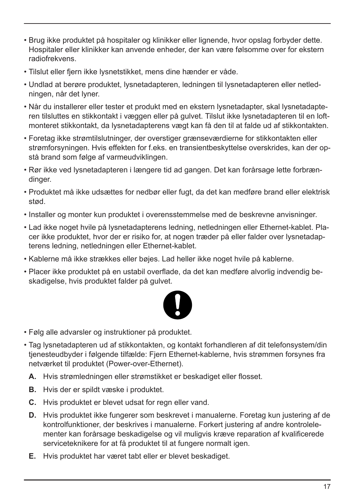- Brug ikke produktet på hospitaler og klinikker eller lignende, hvor opslag forbyder dette. Hospitaler eller klinikker kan anvende enheder, der kan være følsomme over for ekstern radiofrekvens.
- Tilslut eller fjern ikke lysnetstikket, mens dine hænder er våde.
- Undlad at berøre produktet, lysnetadapteren, ledningen til lysnetadapteren eller netledningen, når det lyner.
- Når du installerer eller tester et produkt med en ekstern lysnetadapter, skal lysnetadapteren tilsluttes en stikkontakt i væggen eller på gulvet. Tilslut ikke lysnetadapteren til en loftmonteret stikkontakt, da lysnetadapterens vægt kan få den til at falde ud af stikkontakten.
- Foretag ikke strømtilslutninger, der overstiger grænseværdierne for stikkontakten eller strømforsyningen. Hvis effekten for f.eks. en transientbeskyttelse overskrides, kan der opstå brand som følge af varmeudviklingen.
- Rør ikke ved lysnetadapteren i længere tid ad gangen. Det kan forårsage lette forbrændinger.
- Produktet må ikke udsættes for nedbør eller fugt, da det kan medføre brand eller elektrisk stød.
- Installer og monter kun produktet i overensstemmelse med de beskrevne anvisninger.
- Lad ikke noget hvile på lysnetadapterens ledning, netledningen eller Ethernet-kablet. Placer ikke produktet, hvor der er risiko for, at nogen træder på eller falder over lysnetadapterens ledning, netledningen eller Ethernet-kablet.
- Kablerne må ikke strækkes eller bøjes. Lad heller ikke noget hvile på kablerne.
- Placer ikke produktet på en ustabil overflade, da det kan medføre alvorlig indvendig beskadigelse, hvis produktet falder på gulvet.



- Følg alle advarsler og instruktioner på produktet.
- Tag lysnetadapteren ud af stikkontakten, og kontakt forhandleren af dit telefonsystem/din tienesteudbyder i følgende tilfælde: Fiern Ethernet-kablerne, hvis strømmen forsynes fra netværket til produktet (Power-over-Ethernet).
	- **A.** Hvis strømledningen eller strømstikket er beskadiget eller flosset.
	- **B.** Hvis der er spildt væske i produktet.
	- **C.** Hvis produktet er blevet udsat for regn eller vand.
	- **D.** Hvis produktet ikke fungerer som beskrevet i manualerne. Foretag kun justering af de kontrolfunktioner, der beskrives i manualerne. Forkert justering af andre kontrolelementer kan forårsage beskadigelse og vil muligvis kræve reparation af kvalificerede serviceteknikere for at få produktet til at fungere normalt igen.
	- **E.** Hvis produktet har været tabt eller er blevet beskadiget.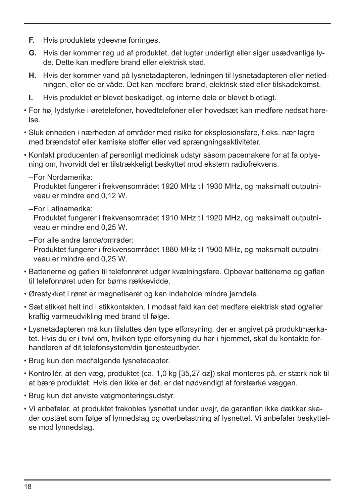- **F.** Hvis produktets ydeevne forringes.
- **G.** Hvis der kommer røg ud af produktet, det lugter underligt eller siger usædvanlige lyde. Dette kan medføre brand eller elektrisk stød.
- **H.** Hvis der kommer vand på lysnetadapteren, ledningen til lysnetadapteren eller netledningen, eller de er våde. Det kan medføre brand, elektrisk stød eller tilskadekomst.
- **I.** Hvis produktet er blevet beskadiget, og interne dele er blevet blotlagt.
- For høj lydstyrke i øretelefoner, hovedtelefoner eller hovedsæt kan medføre nedsat hørelse.
- Sluk enheden i nærheden af områder med risiko for eksplosionsfare, f.eks. nær lagre med brændstof eller kemiske stoffer eller ved sprængningsaktiviteter.
- Kontakt producenten af personligt medicinsk udstyr såsom pacemakere for at få oplysning om, hvorvidt det er tilstrækkeligt beskyttet mod ekstern radiofrekvens.
	- –For Nordamerika:

Produktet fungerer i frekvensområdet 1920 MHz til 1930 MHz, og maksimalt outputniveau er mindre end 0,12 W.

–For Latinamerika:

Produktet fungerer i frekvensområdet 1910 MHz til 1920 MHz, og maksimalt outputniveau er mindre end 0,25 W.

–For alle andre lande/områder:

Produktet fungerer i frekvensområdet 1880 MHz til 1900 MHz, og maksimalt outputniveau er mindre end 0,25 W.

- Batterierne og gaflen til telefonrøret udgør kvælningsfare. Opbevar batterierne og gaflen til telefonrøret uden for børns rækkevidde.
- Ørestykket i røret er magnetiseret og kan indeholde mindre jerndele.
- Sæt stikket helt ind i stikkontakten. I modsat fald kan det medføre elektrisk stød og/eller kraftig varmeudvikling med brand til følge.
- Lysnetadapteren må kun tilsluttes den type elforsyning, der er angivet på produktmærkatet. Hvis du er i tvivl om, hvilken type elforsyning du har i hjemmet, skal du kontakte forhandleren af dit telefonsystem/din tjenesteudbyder.
- Brug kun den medfølgende lysnetadapter.
- Kontrollér, at den væg, produktet (ca. 1,0 kg [35,27 oz]) skal monteres på, er stærk nok til at bære produktet. Hvis den ikke er det, er det nødvendigt at forstærke væggen.
- Brug kun det anviste vægmonteringsudstyr.
- Vi anbefaler, at produktet frakobles lysnettet under uvejr, da garantien ikke dækker skader opstået som følge af lynnedslag og overbelastning af lysnettet. Vi anbefaler beskyttelse mod lynnedslag.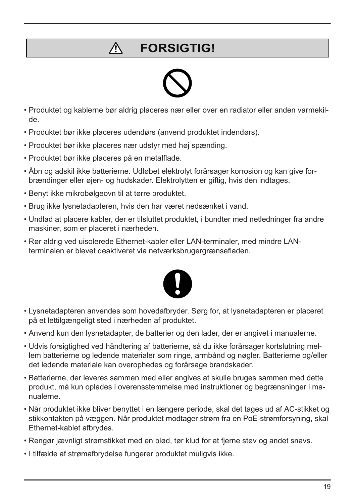#### Λ **FORSIGTIG!**



- Produktet og kablerne bør aldrig placeres nær eller over en radiator eller anden varmekilde.
- Produktet bør ikke placeres udendørs (anvend produktet indendørs).
- Produktet bør ikke placeres nær udstyr med høj spænding.
- Produktet bør ikke placeres på en metalflade.
- Åbn og adskil ikke batterierne. Udløbet elektrolyt forårsager korrosion og kan give forbrændinger eller øjen- og hudskader. Elektrolytten er giftig, hvis den indtages.
- Benyt ikke mikrobølgeovn til at tørre produktet.
- Brug ikke lysnetadapteren, hvis den har været nedsænket i vand.
- Undlad at placere kabler, der er tilsluttet produktet, i bundter med netledninger fra andre maskiner, som er placeret i nærheden.
- Rør aldrig ved uisolerede Ethernet-kabler eller LAN-terminaler, med mindre LANterminalen er blevet deaktiveret via netværksbrugergrænsefladen.



- Lysnetadapteren anvendes som hovedafbryder. Sørg for, at lysnetadapteren er placeret på et lettilgængeligt sted i nærheden af produktet.
- Anvend kun den lysnetadapter, de batterier og den lader, der er angivet i manualerne.
- Udvis forsigtighed ved håndtering af batterierne, så du ikke forårsager kortslutning mellem batterierne og ledende materialer som ringe, armbånd og nøgler. Batterierne og/eller det ledende materiale kan overophedes og forårsage brandskader.
- Batterierne, der leveres sammen med eller angives at skulle bruges sammen med dette produkt, må kun oplades i overensstemmelse med instruktioner og begrænsninger i manualerne.
- Når produktet ikke bliver benyttet i en længere periode, skal det tages ud af AC-stikket og stikkontakten på væggen. Når produktet modtager strøm fra en PoE-strømforsyning, skal Ethernet-kablet afbrydes.
- Rengør jævnligt strømstikket med en blød, tør klud for at fjerne støv og andet snavs.
- I tilfælde af strømafbrydelse fungerer produktet muligvis ikke.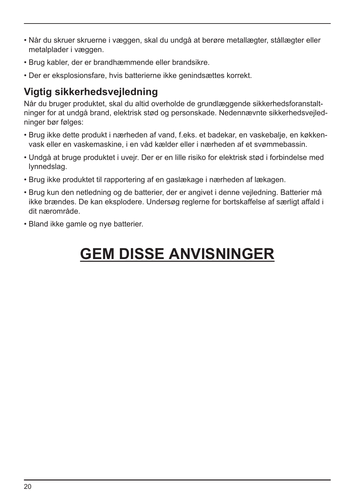- Når du skruer skruerne i væggen, skal du undgå at berøre metallægter, stållægter eller metalplader i væggen.
- Brug kabler, der er brandhæmmende eller brandsikre.
- Der er eksplosionsfare, hvis batterierne ikke genindsættes korrekt.

### **Vigtig sikkerhedsvejledning**

Når du bruger produktet, skal du altid overholde de grundlæggende sikkerhedsforanstaltninger for at undgå brand, elektrisk stød og personskade. Nedennævnte sikkerhedsvejledninger bør følges:

- Brug ikke dette produkt i nærheden af vand, f.eks. et badekar, en vaskebalje, en køkkenvask eller en vaskemaskine, i en våd kælder eller i nærheden af et svømmebassin.
- Undgå at bruge produktet i uvejr. Der er en lille risiko for elektrisk stød i forbindelse med lynnedslag.
- Brug ikke produktet til rapportering af en gaslækage i nærheden af lækagen.
- Brug kun den netledning og de batterier, der er angivet i denne vejledning. Batterier må ikke brændes. De kan eksplodere. Undersøg reglerne for bortskaffelse af særligt affald i dit nærområde.
- Bland ikke gamle og nye batterier.

# **GEM DISSE ANVISNINGER**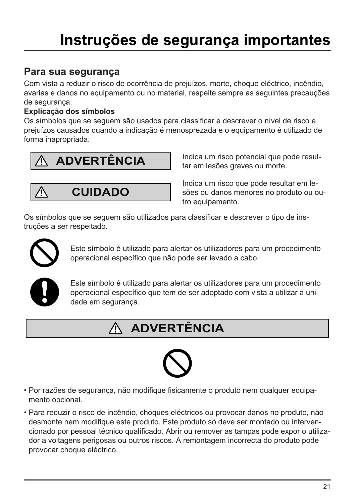# **Instruções de segurança importantes**

### **Para sua segurança**

Com vista a reduzir o risco de ocorrência de prejuízos, morte, choque eléctrico, incêndio, avarias e danos no equipamento ou no material, respeite sempre as seguintes precauções de segurança.

#### **Explicação dos símbolos**

Os símbolos que se seguem são usados para classificar e descrever o nível de risco e prejuízos causados quando a indicação é menosprezada e o equipamento é utilizado de forma inapropriada.



**CUIDADO**

Indica um risco potencial que pode resultar em lesões graves ou morte.

Indica um risco que pode resultar em lesões ou danos menores no produto ou outro equipamento.

Os símbolos que se seguem são utilizados para classificar e descrever o tipo de instruções a ser respeitado.



Λ

Este símbolo é utilizado para alertar os utilizadores para um procedimento operacional específico que não pode ser levado a cabo.



Este símbolo é utilizado para alertar os utilizadores para um procedimento operacional específico que tem de ser adoptado com vista a utilizar a unidade em segurança.

## **ADVERTÊNCIA**



- Por razões de segurança, não modifique fisicamente o produto nem qualquer equipamento opcional.
- Para reduzir o risco de incêndio, choques eléctricos ou provocar danos no produto, não desmonte nem modifique este produto. Este produto só deve ser montado ou intervencionado por pessoal técnico qualificado. Abrir ou remover as tampas pode expor o utilizador a voltagens perigosas ou outros riscos. A remontagem incorrecta do produto pode provocar choque eléctrico.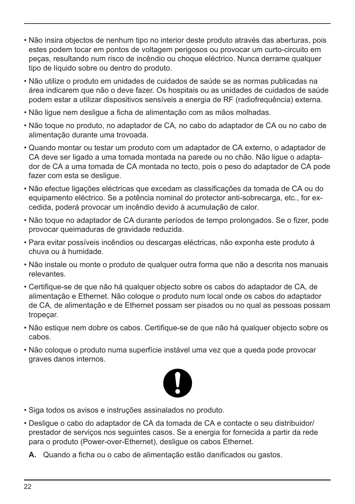- Não insira objectos de nenhum tipo no interior deste produto através das aberturas, pois estes podem tocar em pontos de voltagem perigosos ou provocar um curto-circuito em peças, resultando num risco de incêndio ou choque eléctrico. Nunca derrame qualquer tipo de líquido sobre ou dentro do produto.
- Não utilize o produto em unidades de cuidados de saúde se as normas publicadas na área indicarem que não o deve fazer. Os hospitais ou as unidades de cuidados de saúde podem estar a utilizar dispositivos sensíveis a energia de RF (radiofrequência) externa.
- Não ligue nem desligue a ficha de alimentação com as mãos molhadas.
- Não toque no produto, no adaptador de CA, no cabo do adaptador de CA ou no cabo de alimentação durante uma trovoada.
- Quando montar ou testar um produto com um adaptador de CA externo, o adaptador de CA deve ser ligado a uma tomada montada na parede ou no chão. Não ligue o adaptador de CA a uma tomada de CA montada no tecto, pois o peso do adaptador de CA pode fazer com esta se desligue.
- Não efectue ligações eléctricas que excedam as classificações da tomada de CA ou do equipamento eléctrico. Se a potência nominal do protector anti-sobrecarga, etc., for excedida, poderá provocar um incêndio devido à acumulação de calor.
- Não toque no adaptador de CA durante períodos de tempo prolongados. Se o fizer, pode provocar queimaduras de gravidade reduzida.
- Para evitar possíveis incêndios ou descargas eléctricas, não exponha este produto à chuva ou à humidade.
- Não instale ou monte o produto de qualquer outra forma que não a descrita nos manuais relevantes.
- Certifique-se de que não há qualquer objecto sobre os cabos do adaptador de CA, de alimentação e Ethernet. Não coloque o produto num local onde os cabos do adaptador de CA, de alimentação e de Ethernet possam ser pisados ou no qual as pessoas possam tropeçar.
- Não estique nem dobre os cabos. Certifique-se de que não há qualquer objecto sobre os cabos.
- Não coloque o produto numa superfície instável uma vez que a queda pode provocar graves danos internos.



- Siga todos os avisos e instruções assinalados no produto.
- Desligue o cabo do adaptador de CA da tomada de CA e contacte o seu distribuidor/ prestador de serviços nos seguintes casos. Se a energia for fornecida a partir da rede para o produto (Power-over-Ethernet), desligue os cabos Ethernet.
	- **A.** Quando a ficha ou o cabo de alimentação estão danificados ou gastos.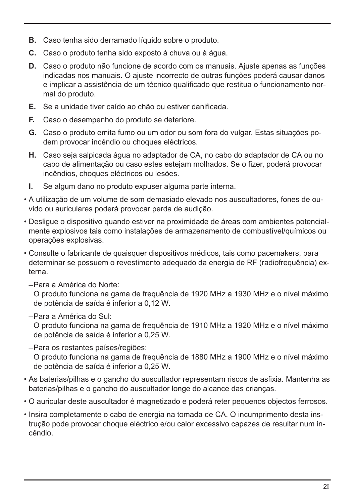- **B.** Caso tenha sido derramado líquido sobre o produto.
- **C.** Caso o produto tenha sido exposto à chuva ou à água.
- **D.** Caso o produto não funcione de acordo com os manuais. Ajuste apenas as funções indicadas nos manuais. O ajuste incorrecto de outras funções poderá causar danos e implicar a assistência de um técnico qualificado que restitua o funcionamento normal do produto.
- **E.** Se a unidade tiver caído ao chão ou estiver danificada.
- **F.** Caso o desempenho do produto se deteriore.
- **G.** Caso o produto emita fumo ou um odor ou som fora do vulgar. Estas situações podem provocar incêndio ou choques eléctricos.
- **H.** Caso seja salpicada água no adaptador de CA, no cabo do adaptador de CA ou no cabo de alimentação ou caso estes estejam molhados. Se o fizer, poderá provocar incêndios, choques eléctricos ou lesões.
- **I.** Se algum dano no produto expuser alguma parte interna.
- A utilização de um volume de som demasiado elevado nos auscultadores, fones de ouvido ou auriculares poderá provocar perda de audição.
- Desligue o dispositivo quando estiver na proximidade de áreas com ambientes potencialmente explosivos tais como instalações de armazenamento de combustível/químicos ou operações explosivas.
- Consulte o fabricante de quaisquer dispositivos médicos, tais como pacemakers, para determinar se possuem o revestimento adequado da energia de RF (radiofrequência) externa.
	- –Para a América do Norte:

O produto funciona na gama de frequência de 1920 MHz a 1930 MHz e o nível máximo de potência de saída é inferior a 0,12 W.

–Para a América do Sul:

O produto funciona na gama de frequência de 1910 MHz a 1920 MHz e o nível máximo de potência de saída é inferior a 0,25 W.

–Para os restantes países/regiões: O produto funciona na gama de frequência de 1880 MHz a 1900 MHz e o nível máximo de potência de saída é inferior a 0,25 W.

- As baterias/pilhas e o gancho do auscultador representam riscos de asfixia. Mantenha as baterias/pilhas e o gancho do auscultador longe do alcance das crianças.
- O auricular deste auscultador é magnetizado e poderá reter pequenos objectos ferrosos.
- Insira completamente o cabo de energia na tomada de CA. O incumprimento desta instrução pode provocar choque eléctrico e/ou calor excessivo capazes de resultar num incêndio.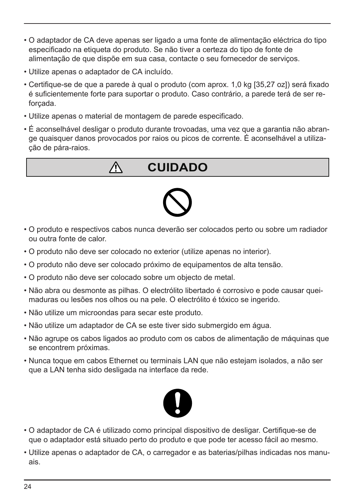- O adaptador de CA deve apenas ser ligado a uma fonte de alimentação eléctrica do tipo especificado na etiqueta do produto. Se não tiver a certeza do tipo de fonte de alimentação de que dispõe em sua casa, contacte o seu fornecedor de serviços.
- Utilize apenas o adaptador de CA incluído.
- Certifique-se de que a parede à qual o produto (com aprox. 1,0 kg [35,27 oz]) será fixado é suficientemente forte para suportar o produto. Caso contrário, a parede terá de ser reforçada.
- Utilize apenas o material de montagem de parede especificado.

Λ

• É aconselhável desligar o produto durante trovoadas, uma vez que a garantia não abrange quaisquer danos provocados por raios ou picos de corrente. É aconselhável a utilização de pára-raios.

## **CUIDADO**



- O produto e respectivos cabos nunca deverão ser colocados perto ou sobre um radiador ou outra fonte de calor.
- O produto não deve ser colocado no exterior (utilize apenas no interior).
- O produto não deve ser colocado próximo de equipamentos de alta tensão.
- O produto não deve ser colocado sobre um objecto de metal.
- Não abra ou desmonte as pilhas. O electrólito libertado é corrosivo e pode causar queimaduras ou lesões nos olhos ou na pele. O electrólito é tóxico se ingerido.
- Não utilize um microondas para secar este produto.
- Não utilize um adaptador de CA se este tiver sido submergido em água.
- Não agrupe os cabos ligados ao produto com os cabos de alimentação de máquinas que se encontrem próximas.
- Nunca toque em cabos Ethernet ou terminais LAN que não estejam isolados, a não ser que a LAN tenha sido desligada na interface da rede.



- O adaptador de CA é utilizado como principal dispositivo de desligar. Certifique-se de que o adaptador está situado perto do produto e que pode ter acesso fácil ao mesmo.
- Utilize apenas o adaptador de CA, o carregador e as baterias/pilhas indicadas nos manuais.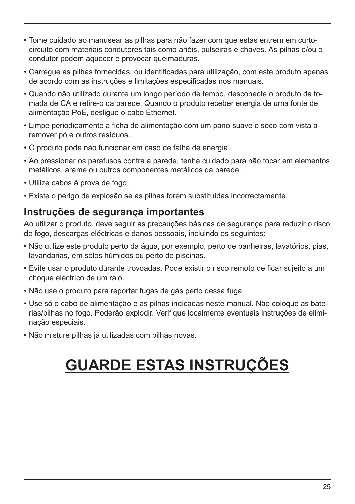- Tome cuidado ao manusear as pilhas para não fazer com que estas entrem em curtocircuito com materiais condutores tais como anéis, pulseiras e chaves. As pilhas e/ou o condutor podem aquecer e provocar queimaduras.
- Carregue as pilhas fornecidas, ou identificadas para utilização, com este produto apenas de acordo com as instruções e limitações especificadas nos manuais.
- Quando não utilizado durante um longo período de tempo, desconecte o produto da tomada de CA e retire-o da parede. Quando o produto receber energia de uma fonte de alimentação PoE, desligue o cabo Ethernet.
- Limpe periodicamente a ficha de alimentação com um pano suave e seco com vista a remover pó e outros resíduos.
- O produto pode não funcionar em caso de falha de energia.
- Ao pressionar os parafusos contra a parede, tenha cuidado para não tocar em elementos metálicos, arame ou outros componentes metálicos da parede.
- Utilize cabos à prova de fogo.
- Existe o perigo de explosão se as pilhas forem substituídas incorrectamente.

#### **Instruções de segurança importantes**

Ao utilizar o produto, deve seguir as precauções básicas de segurança para reduzir o risco de fogo, descargas eléctricas e danos pessoais, incluindo os seguintes:

- Não utilize este produto perto da água, por exemplo, perto de banheiras, lavatórios, pias, lavandarias, em solos húmidos ou perto de piscinas.
- Evite usar o produto durante trovoadas. Pode existir o risco remoto de ficar sujeito a um choque eléctrico de um raio.
- Não use o produto para reportar fugas de gás perto dessa fuga.
- Use só o cabo de alimentação e as pilhas indicadas neste manual. Não coloque as baterias/pilhas no fogo. Poderão explodir. Verifique localmente eventuais instruções de eliminação especiais.
- Não misture pilhas já utilizadas com pilhas novas.

# **GUARDE ESTAS INSTRUÇÕES**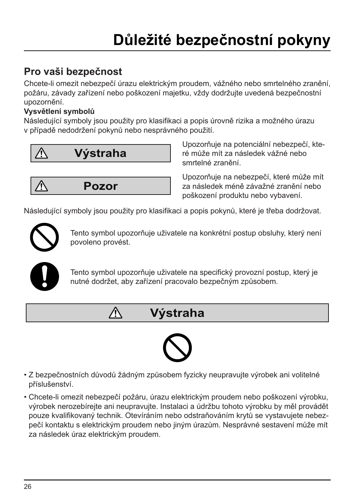# **Důležité bezpečnostní pokyny**

### **Pro vaši bezpečnost**

Chcete-li omezit nebezpečí úrazu elektrickým proudem, vážného nebo smrtelného zranění, požáru, závady zařízení nebo poškození majetku, vždy dodržujte uvedená bezpečnostní upozornění.

#### **Vysvětlení symbolů**

Následující symboly jsou použity pro klasifikaci a popis úrovně rizika a možného úrazu v případě nedodržení pokynů nebo nesprávného použití.





∕∖∖

Upozorňuje na potenciální nebezpečí, které může mít za následek vážné nebo smrtelné zranění.

Upozorňuje na nebezpečí, které může mít za následek méně závažné zranění nebo poškození produktu nebo vybavení.

Následující symboly jsou použity pro klasifikaci a popis pokynů, které je třeba dodržovat.



Tento symbol upozorňuje uživatele na konkrétní postup obsluhy, který není povoleno provést.



Tento symbol upozorňuje uživatele na specifický provozní postup, který je nutné dodržet, aby zařízení pracovalo bezpečným způsobem.

## **Výstraha**



- Z bezpečnostních důvodů žádným způsobem fyzicky neupravujte výrobek ani volitelné příslušenství.
- Chcete-li omezit nebezpečí požáru, úrazu elektrickým proudem nebo poškození výrobku, výrobek nerozebírejte ani neupravujte. Instalaci a údržbu tohoto výrobku by měl provádět pouze kvalifikovaný technik. Otevíráním nebo odstraňováním krytů se vystavujete nebezpečí kontaktu s elektrickým proudem nebo jiným úrazům. Nesprávné sestavení může mít za následek úraz elektrickým proudem.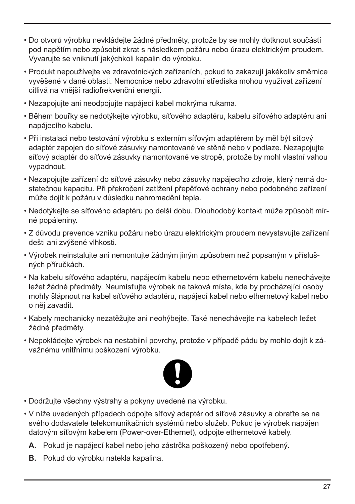- Do otvorů výrobku nevkládejte žádné předměty, protože by se mohly dotknout součástí pod napětím nebo způsobit zkrat s následkem požáru nebo úrazu elektrickým proudem. Vyvarujte se vniknutí jakýchkoli kapalin do výrobku.
- Produkt nepoužívejte ve zdravotnických zařízeních, pokud to zakazují jakékoliv směrnice vyvěšené v dané oblasti. Nemocnice nebo zdravotní střediska mohou využívat zařízení citlivá na vnější radiofrekvenční energii.
- Nezapojujte ani neodpojujte napájecí kabel mokrýma rukama.
- Během bouřky se nedotýkejte výrobku, síťového adaptéru, kabelu síťového adaptéru ani napájecího kabelu.
- Při instalaci nebo testování výrobku s externím síťovým adaptérem by měl být síťový adaptér zapojen do síťové zásuvky namontované ve stěně nebo v podlaze. Nezapojujte síťový adaptér do síťové zásuvky namontované ve stropě, protože by mohl vlastní vahou vypadnout.
- Nezapojujte zařízení do síťové zásuvky nebo zásuvky napájecího zdroje, který nemá dostatečnou kapacitu. Při překročení zatížení přepěťové ochrany nebo podobného zařízení může dojít k požáru v důsledku nahromadění tepla.
- Nedotýkejte se síťového adaptéru po delší dobu. Dlouhodobý kontakt může způsobit mírné popáleniny.
- Z důvodu prevence vzniku požáru nebo úrazu elektrickým proudem nevystavujte zařízení dešti ani zvýšené vlhkosti.
- Výrobek neinstalujte ani nemontujte žádným jiným způsobem než popsaným v příslušných příručkách.
- Na kabelu síťového adaptéru, napájecím kabelu nebo ethernetovém kabelu nenechávejte ležet žádné předměty. Neumísťujte výrobek na taková místa, kde by procházející osoby mohly šlápnout na kabel síťového adaptéru, napájecí kabel nebo ethernetový kabel nebo o něj zavadit.
- Kabely mechanicky nezatěžujte ani neohýbejte. Také nenechávejte na kabelech ležet žádné předměty.
- Nepokládejte výrobek na nestabilní povrchy, protože v případě pádu by mohlo dojít k závažnému vnitřnímu poškození výrobku.



- Dodržujte všechny výstrahy a pokyny uvedené na výrobku.
- V níže uvedených případech odpojte síťový adaptér od síťové zásuvky a obraťte se na svého dodavatele telekomunikačních systémů nebo služeb. Pokud je výrobek napájen datovým síťovým kabelem (Power-over-Ethernet), odpojte ethernetové kabely.
	- **A.** Pokud je napájecí kabel nebo jeho zástrčka poškozený nebo opotřebený.
	- **B.** Pokud do výrobku natekla kapalina.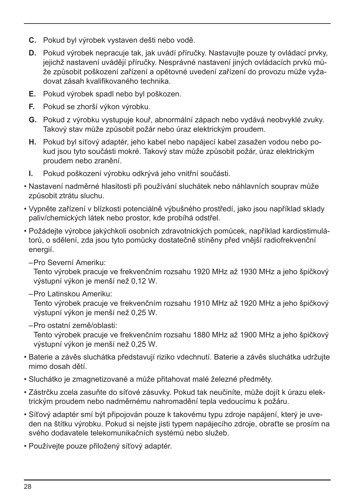- **C.** Pokud byl výrobek vystaven dešti nebo vodě.
- **D.** Pokud výrobek nepracuje tak, jak uvádí příručky. Nastavujte pouze ty ovládací prvky, jejichž nastavení uvádějí příručky. Nesprávné nastavení jiných ovládacích prvků může způsobit poškození zařízení a opětovné uvedení zařízení do provozu může vyžadovat zásah kvalifikovaného technika.
- **E.** Pokud výrobek spadl nebo byl poškozen.
- **F.** Pokud se zhorší výkon výrobku.
- **G.** Pokud z výrobku vystupuje kouř, abnormální zápach nebo vydává neobvyklé zvuky. Takový stav může způsobit požár nebo úraz elektrickým proudem.
- **H.** Pokud byl síťový adaptér, jeho kabel nebo napájecí kabel zasažen vodou nebo pokud jsou tyto součásti mokré. Takový stav může způsobit požár, úraz elektrickým proudem nebo zranění.
- **I.** Pokud poškození výrobku odkrývá jeho vnitřní součásti.
- Nastavení nadměrné hlasitosti při používání sluchátek nebo náhlavních souprav může způsobit ztrátu sluchu.
- Vypněte zařízení v blízkosti potenciálně výbušného prostředí, jako jsou například sklady paliv/chemických látek nebo prostor, kde probíhá odstřel.
- Požádejte výrobce jakýchkoli osobních zdravotnických pomůcek, například kardiostimulátorů, o sdělení, zda jsou tyto pomůcky dostatečně stíněny před vnější radiofrekvenční energií.
	- –Pro Severní Ameriku:

Tento výrobek pracuje ve frekvenčním rozsahu 1920 MHz až 1930 MHz a jeho špičkový výstupní výkon je menší než 0,12 W.

–Pro Latinskou Ameriku:

Tento výrobek pracuje ve frekvenčním rozsahu 1910 MHz až 1920 MHz a jeho špičkový výstupní výkon je menší než 0,25 W.

–Pro ostatní země/oblasti:

Tento výrobek pracuje ve frekvenčním rozsahu 1880 MHz až 1900 MHz a jeho špičkový výstupní výkon je menší než 0,25 W.

- Baterie a závěs sluchátka představují riziko vdechnutí. Baterie a závěs sluchátka udržujte mimo dosah dětí.
- Sluchátko je zmagnetizované a může přitahovat malé železné předměty.
- Zástrčku zcela zasuňte do síťové zásuvky. Pokud tak neučiníte, může dojít k úrazu elektrickým proudem nebo nadměrnému nahromadění tepla vedoucímu k požáru.
- Síťový adaptér smí být připojován pouze k takovému typu zdroje napájení, který je uveden na štítku výrobku. Pokud si nejste jisti typem napájecího zdroje, obraťte se prosím na svého dodavatele telekomunikačních systémů nebo služeb.
- Používejte pouze přiložený síťový adaptér.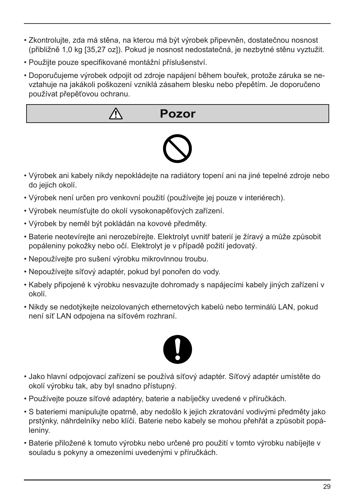- Zkontrolujte, zda má stěna, na kterou má být výrobek připevněn, dostatečnou nosnost (přibližně 1,0 kg [35,27 oz]). Pokud je nosnost nedostatečná, je nezbytné stěnu vyztužit.
- Použijte pouze specifikované montážní příslušenství.
- Doporučujeme výrobek odpojit od zdroje napájení během bouřek, protože záruka se nevztahuje na jakákoli poškození vzniklá zásahem blesku nebo přepětím. Je doporučeno používat přepěťovou ochranu.



- Výrobek ani kabely nikdy nepokládejte na radiátory topení ani na jiné tepelné zdroje nebo do jejich okolí.
- Výrobek není určen pro venkovní použití (používejte jej pouze v interiérech).
- Výrobek neumísťujte do okolí vysokonapěťových zařízení.
- Výrobek by neměl být pokládán na kovové předměty.
- Baterie neotevírejte ani nerozebírejte. Elektrolyt uvnitř baterií je žíravý a může způsobit popáleniny pokožky nebo očí. Elektrolyt je v případě požití jedovatý.
- Nepoužívejte pro sušení výrobku mikrovlnnou troubu.
- Nepoužívejte síťový adaptér, pokud byl ponořen do vody.
- Kabely připojené k výrobku nesvazujte dohromady s napájecími kabely jiných zařízení v okolí.
- Nikdy se nedotýkejte neizolovaných ethernetových kabelů nebo terminálů LAN, pokud není síť LAN odpojena na síťovém rozhraní.



- Jako hlavní odpojovací zařízení se používá síťový adaptér. Síťový adaptér umístěte do okolí výrobku tak, aby byl snadno přístupný.
- Používejte pouze síťové adaptéry, baterie a nabíječky uvedené v příručkách.
- S bateriemi manipulujte opatrně, aby nedošlo k jejich zkratování vodivými předměty jako prstýnky, náhrdelníky nebo klíči. Baterie nebo kabely se mohou přehřát a způsobit popáleniny.
- Baterie přiložené k tomuto výrobku nebo určené pro použití v tomto výrobku nabíjejte v souladu s pokyny a omezeními uvedenými v příručkách.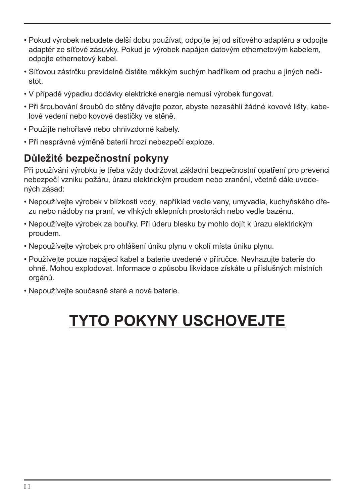- Pokud výrobek nebudete delší dobu používat, odpojte jej od síťového adaptéru a odpojte adaptér ze síťové zásuvky. Pokud je výrobek napájen datovým ethernetovým kabelem, odpojte ethernetový kabel.
- Síťovou zástrčku pravidelně čistěte měkkým suchým hadříkem od prachu a jiných nečistot.
- V případě výpadku dodávky elektrické energie nemusí výrobek fungovat.
- Při šroubování šroubů do stěny dávejte pozor, abyste nezasáhli žádné kovové lišty, kabelové vedení nebo kovové destičky ve stěně.
- Použijte nehořlavé nebo ohnivzdorné kabely.
- Při nesprávné výměně baterií hrozí nebezpečí exploze.

### **Důležité bezpečnostní pokyny**

Při používání výrobku je třeba vždy dodržovat základní bezpečnostní opatření pro prevenci nebezpečí vzniku požáru, úrazu elektrickým proudem nebo zranění, včetně dále uvedených zásad:

- Nepoužívejte výrobek v blízkosti vody, například vedle vany, umyvadla, kuchyňského dřezu nebo nádoby na praní, ve vlhkých sklepních prostorách nebo vedle bazénu.
- Nepoužívejte výrobek za bouřky. Při úderu blesku by mohlo dojít k úrazu elektrickým proudem.
- Nepoužívejte výrobek pro ohlášení úniku plynu v okolí místa úniku plynu.
- Používejte pouze napájecí kabel a baterie uvedené v příručce. Nevhazujte baterie do ohně. Mohou explodovat. Informace o způsobu likvidace získáte u příslušných místních orgánů.
- Nepoužívejte současně staré a nové baterie.

# **TYTO POKYNY USCHOVEJTE**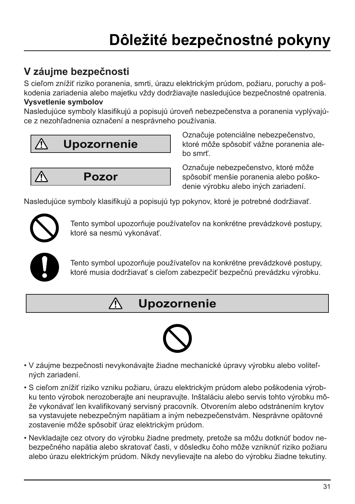### **V záujme bezpečnosti**

S cieľom znížiť riziko poranenia, smrti, úrazu elektrickým prúdom, požiaru, poruchy a poškodenia zariadenia alebo majetku vždy dodržiavajte nasledujúce bezpečnostné opatrenia. **Vysvetlenie symbolov**

Nasledujúce symboly klasifikujú a popisujú úroveň nebezpečenstva a poranenia vyplývajúce z nezohľadnenia označení a nesprávneho používania.



⁄Ņ **Pozor** Označuje potenciálne nebezpečenstvo, ktoré môže spôsobiť vážne poranenia alebo smrť.

Označuje nebezpečenstvo, ktoré môže spôsobiť menšie poranenia alebo poškodenie výrobku alebo iných zariadení.

Nasledujúce symboly klasifikujú a popisujú typ pokynov, ktoré je potrebné dodržiavať.



Tento symbol upozorňuje používateľov na konkrétne prevádzkové postupy, ktoré sa nesmú vykonávať.



Tento symbol upozorňuje používateľov na konkrétne prevádzkové postupy, ktoré musia dodržiavať s cieľom zabezpečiť bezpečnú prevádzku výrobku.

#### Λ **Upozornenie**



- V záujme bezpečnosti nevykonávajte žiadne mechanické úpravy výrobku alebo voliteľných zariadení.
- S cieľom znížiť riziko vzniku požiaru, úrazu elektrickým prúdom alebo poškodenia výrobku tento výrobok nerozoberajte ani neupravujte. Inštaláciu alebo servis tohto výrobku môže vykonávať len kvalifikovaný servisný pracovník. Otvorením alebo odstránením krytov sa vystavujete nebezpečným napätiam a iným nebezpečenstvám. Nesprávne opätovné zostavenie môže spôsobiť úraz elektrickým prúdom.
- Nevkladajte cez otvory do výrobku žiadne predmety, pretože sa môžu dotknúť bodov nebezpečného napätia alebo skratovať časti, v dôsledku čoho môže vzniknúť riziko požiaru alebo úrazu elektrickým prúdom. Nikdy nevylievajte na alebo do výrobku žiadne tekutiny.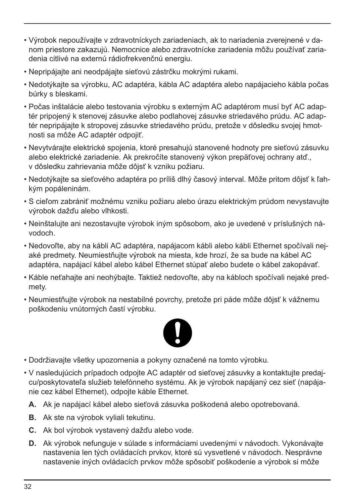- Výrobok nepoužívajte v zdravotníckych zariadeniach, ak to nariadenia zverejnené v danom priestore zakazujú. Nemocnice alebo zdravotnícke zariadenia môžu používať zariadenia citlivé na externú rádiofrekvenčnú energiu.
- Nepripájajte ani neodpájajte sieťovú zástrčku mokrými rukami.
- Nedotýkajte sa výrobku, AC adaptéra, kábla AC adaptéra alebo napájacieho kábla počas búrky s bleskami.
- Počas inštalácie alebo testovania výrobku s externým AC adaptérom musí byť AC adaptér pripojený k stenovej zásuvke alebo podlahovej zásuvke striedavého prúdu. AC adaptér nepripájajte k stropovej zásuvke striedavého prúdu, pretože v dôsledku svojej hmotnosti sa môže AC adaptér odpojiť.
- Nevytvárajte elektrické spojenia, ktoré presahujú stanovené hodnoty pre sieťovú zásuvku alebo elektrické zariadenie. Ak prekročíte stanovený výkon prepäťovej ochrany atď., v dôsledku zahrievania môže dôjsť k vzniku požiaru.
- Nedotýkajte sa sieťového adaptéra po príliš dlhý časový interval. Môže pritom dôjsť k ľahkým popáleninám.
- S cieľom zabrániť možnému vzniku požiaru alebo úrazu elektrickým prúdom nevystavujte výrobok dažďu alebo vlhkosti.
- Neinštalujte ani nezostavujte výrobok iným spôsobom, ako je uvedené v príslušných návodoch.
- Nedovoľte, aby na kábli AC adaptéra, napájacom kábli alebo kábli Ethernet spočívali nejaké predmety. Neumiestňujte výrobok na miesta, kde hrozí, že sa bude na kábel AC adaptéra, napájací kábel alebo kábel Ethernet stúpať alebo budete o kábel zakopávať.
- Káble neťahajte ani neohýbajte. Taktiež nedovoľte, aby na kábloch spočívali nejaké predmety.
- Neumiestňujte výrobok na nestabilné povrchy, pretože pri páde môže dôjsť k vážnemu poškodeniu vnútorných častí výrobku.



- Dodržiavajte všetky upozornenia a pokyny označené na tomto výrobku.
- V nasledujúcich prípadoch odpojte AC adaptér od sieťovej zásuvky a kontaktujte predajcu/poskytovateľa služieb telefónneho systému. Ak je výrobok napájaný cez sieť (napájanie cez kábel Ethernet), odpojte káble Ethernet.
	- **A.** Ak je napájací kábel alebo sieťová zásuvka poškodená alebo opotrebovaná.
	- **B.** Ak ste na výrobok vyliali tekutinu.
	- **C.** Ak bol výrobok vystavený dažďu alebo vode.
	- **D.** Ak výrobok nefunguje v súlade s informáciami uvedenými v návodoch. Vykonávajte nastavenia len tých ovládacích prvkov, ktoré sú vysvetlené v návodoch. Nesprávne nastavenie iných ovládacích prvkov môže spôsobiť poškodenie a výrobok si môže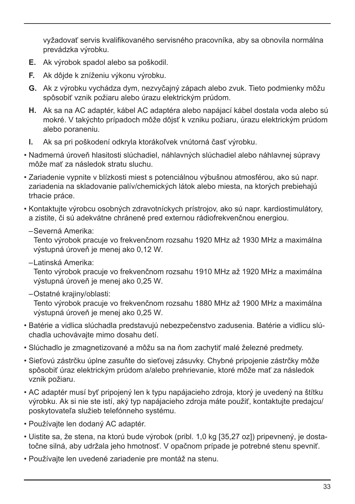vyžadovať servis kvalifikovaného servisného pracovníka, aby sa obnovila normálna prevádzka výrobku.

- **E.** Ak výrobok spadol alebo sa poškodil.
- **F.** Ak dôjde k zníženiu výkonu výrobku.
- **G.** Ak z výrobku vychádza dym, nezvyčajný zápach alebo zvuk. Tieto podmienky môžu spôsobiť vznik požiaru alebo úrazu elektrickým prúdom.
- **H.** Ak sa na AC adaptér, kábel AC adaptéra alebo napájací kábel dostala voda alebo sú mokré. V takýchto prípadoch môže dôjsť k vzniku požiaru, úrazu elektrickým prúdom alebo poraneniu.
- **I.** Ak sa pri poškodení odkryla ktorákoľvek vnútorná časť výrobku.
- Nadmerná úroveň hlasitosti slúchadiel, náhlavných slúchadiel alebo náhlavnej súpravy môže mať za následok stratu sluchu.
- Zariadenie vypnite v blízkosti miest s potenciálnou výbušnou atmosférou, ako sú napr. zariadenia na skladovanie palív/chemických látok alebo miesta, na ktorých prebiehajú trhacie práce.
- Kontaktujte výrobcu osobných zdravotníckych prístrojov, ako sú napr. kardiostimulátory, a zistite, či sú adekvátne chránené pred externou rádiofrekvenčnou energiou.
	- –Severná Amerika:

Tento výrobok pracuje vo frekvenčnom rozsahu 1920 MHz až 1930 MHz a maximálna výstupná úroveň je menej ako 0,12 W.

–Latinská Amerika:

Tento výrobok pracuje vo frekvenčnom rozsahu 1910 MHz až 1920 MHz a maximálna výstupná úroveň je menej ako 0,25 W.

–Ostatné krajiny/oblasti:

Tento výrobok pracuje vo frekvenčnom rozsahu 1880 MHz až 1900 MHz a maximálna výstupná úroveň je menej ako 0,25 W.

- Batérie a vidlica slúchadla predstavujú nebezpečenstvo zadusenia. Batérie a vidlicu slúchadla uchovávajte mimo dosahu detí.
- Slúchadlo je zmagnetizované a môžu sa na ňom zachytiť malé železné predmety.
- Sieťovú zástrčku úplne zasuňte do sieťovej zásuvky. Chybné pripojenie zástrčky môže spôsobiť úraz elektrickým prúdom a/alebo prehrievanie, ktoré môže mať za následok vznik požiaru.
- AC adaptér musí byť pripojený len k typu napájacieho zdroja, ktorý je uvedený na štítku výrobku. Ak si nie ste istí, aký typ napájacieho zdroja máte použiť, kontaktujte predajcu/ poskytovateľa služieb telefónneho systému.
- Používajte len dodaný AC adaptér.
- Uistite sa, že stena, na ktorú bude výrobok (pribl. 1,0 kg [35,27 oz]) pripevnený, je dostatočne silná, aby udržala jeho hmotnosť. V opačnom prípade je potrebné stenu spevniť.
- Používajte len uvedené zariadenie pre montáž na stenu.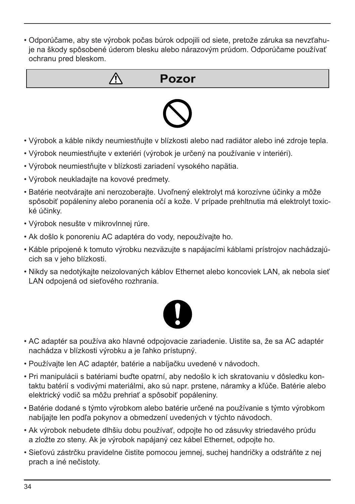• Odporúčame, aby ste výrobok počas búrok odpojili od siete, pretože záruka sa nevzťahuje na škody spôsobené úderom blesku alebo nárazovým prúdom. Odporúčame používať ochranu pred bleskom.





- Výrobok a káble nikdy neumiestňujte v blízkosti alebo nad radiátor alebo iné zdroje tepla.
- Výrobok neumiestňujte v exteriéri (výrobok je určený na používanie v interiéri).
- Výrobok neumiestňujte v blízkosti zariadení vysokého napätia.
- Výrobok neukladajte na kovové predmety.
- Batérie neotvárajte ani nerozoberajte. Uvoľnený elektrolyt má korozívne účinky a môže spôsobiť popáleniny alebo poranenia očí a kože. V prípade prehltnutia má elektrolyt toxické účinky.
- Výrobok nesušte v mikrovlnnej rúre.
- Ak došlo k ponoreniu AC adaptéra do vody, nepoužívajte ho.
- Káble pripojené k tomuto výrobku nezväzujte s napájacími káblami prístrojov nachádzajúcich sa v jeho blízkosti.
- Nikdy sa nedotýkajte neizolovaných káblov Ethernet alebo koncoviek LAN, ak nebola sieť LAN odpojená od sieťového rozhrania.



- AC adaptér sa používa ako hlavné odpojovacie zariadenie. Uistite sa, že sa AC adaptér nachádza v blízkosti výrobku a je ľahko prístupný.
- Používajte len AC adaptér, batérie a nabíjačku uvedené v návodoch.
- Pri manipulácii s batériami buďte opatrní, aby nedošlo k ich skratovaniu v dôsledku kontaktu batérií s vodivými materiálmi, ako sú napr. prstene, náramky a kľúče. Batérie alebo elektrický vodič sa môžu prehriať a spôsobiť popáleniny.
- Batérie dodané s týmto výrobkom alebo batérie určené na používanie s týmto výrobkom nabíjajte len podľa pokynov a obmedzení uvedených v týchto návodoch.
- Ak výrobok nebudete dlhšiu dobu používať, odpojte ho od zásuvky striedavého prúdu a zložte zo steny. Ak je výrobok napájaný cez kábel Ethernet, odpojte ho.
- Sieťovú zástrčku pravidelne čistite pomocou jemnej, suchej handričky a odstráňte z nej prach a iné nečistoty.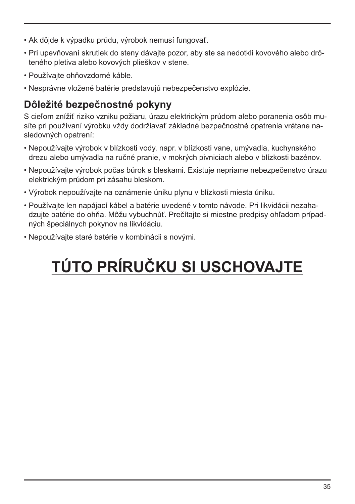- Ak dôjde k výpadku prúdu, výrobok nemusí fungovať.
- Pri upevňovaní skrutiek do steny dávajte pozor, aby ste sa nedotkli kovového alebo drôteného pletiva alebo kovových plieškov v stene.
- Používajte ohňovzdorné káble.
- Nesprávne vložené batérie predstavujú nebezpečenstvo explózie.

### **Dôležité bezpečnostné pokyny**

S cieľom znížiť riziko vzniku požiaru, úrazu elektrickým prúdom alebo poranenia osôb musíte pri používaní výrobku vždy dodržiavať základné bezpečnostné opatrenia vrátane nasledovných opatrení:

- Nepoužívajte výrobok v blízkosti vody, napr. v blízkosti vane, umývadla, kuchynského drezu alebo umývadla na ručné pranie, v mokrých pivniciach alebo v blízkosti bazénov.
- Nepoužívajte výrobok počas búrok s bleskami. Existuje nepriame nebezpečenstvo úrazu elektrickým prúdom pri zásahu bleskom.
- Výrobok nepoužívajte na oznámenie úniku plynu v blízkosti miesta úniku.
- Používajte len napájací kábel a batérie uvedené v tomto návode. Pri likvidácii nezahadzujte batérie do ohňa. Môžu vybuchnúť. Prečítajte si miestne predpisy ohľadom prípadných špeciálnych pokynov na likvidáciu.
- Nepoužívajte staré batérie v kombinácii s novými.

# **TÚTO PRÍRUČKU SI USCHOVAJTE**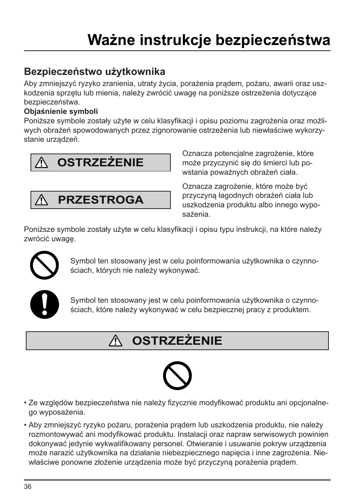### **Bezpieczeństwo użytkownika**

Aby zmniejszyć ryzyko zranienia, utraty życia, porażenia prądem, pożaru, awarii oraz uszkodzenia sprzętu lub mienia, należy zwrócić uwagę na poniższe ostrzeżenia dotyczące bezpieczeństwa.

#### **Objaśnienie symboli**

Poniższe symbole zostały użyte w celu klasyfikacji i opisu poziomu zagrożenia oraz możliwych obrażeń spowodowanych przez zignorowanie ostrzeżenia lub niewłaściwe wykorzystanie urządzeń.



**PRZESTROGA**

Oznacza potencjalne zagrożenie, które może przyczynić się do śmierci lub powstania poważnych obrażeń ciała.

Oznacza zagrożenie, które może być przyczyną łagodnych obrażeń ciała lub uszkodzenia produktu albo innego wyposażenia.

Poniższe symbole zostały użyte w celu klasyfikacji i opisu typu instrukcji, na które należy zwrócić uwagę.



Symbol ten stosowany jest w celu poinformowania użytkownika o czynnościach, których nie należy wykonywać.



Symbol ten stosowany jest w celu poinformowania użytkownika o czynnościach, które należy wykonywać w celu bezpiecznej pracy z produktem.

#### **OSTRZEŻENIE** 八



- Ze względów bezpieczeństwa nie należy fizycznie modyfikować produktu ani opcjonalnego wyposażenia.
- Aby zmniejszyć ryzyko pożaru, porażenia prądem lub uszkodzenia produktu, nie należy rozmontowywać ani modyfikować produktu. Instalacji oraz napraw serwisowych powinien dokonywać jedynie wykwalifikowany personel. Otwieranie i usuwanie pokryw urządzenia może narazić użytkownika na działanie niebezpiecznego napięcia i inne zagrożenia. Niewłaściwe ponowne złożenie urządzenia może być przyczyną porażenia prądem.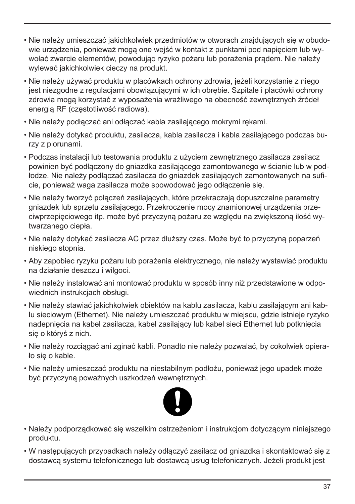- Nie należy umieszczać jakichkolwiek przedmiotów w otworach znajdujących się w obudowie urządzenia, ponieważ mogą one wejść w kontakt z punktami pod napięciem lub wywołać zwarcie elementów, powodując ryzyko pożaru lub porażenia prądem. Nie należy wylewać jakichkolwiek cieczy na produkt.
- Nie należy używać produktu w placówkach ochrony zdrowia, jeżeli korzystanie z niego jest niezgodne z regulacjami obowiązującymi w ich obrębie. Szpitale i placówki ochrony zdrowia mogą korzystać z wyposażenia wrażliwego na obecność zewnętrznych źródeł energią RF (częstotliwość radiowa).
- Nie należy podłączać ani odłączać kabla zasilającego mokrymi rękami.
- Nie należy dotykać produktu, zasilacza, kabla zasilacza i kabla zasilającego podczas burzy z piorunami.
- Podczas instalacji lub testowania produktu z użyciem zewnętrznego zasilacza zasilacz powinien być podłączony do gniazdka zasilającego zamontowanego w ścianie lub w podłodze. Nie należy podłączać zasilacza do gniazdek zasilających zamontowanych na suficie, ponieważ waga zasilacza może spowodować jego odłączenie się.
- Nie należy tworzyć połączeń zasilających, które przekraczają dopuszczalne parametry gniazdek lub sprzętu zasilającego. Przekroczenie mocy znamionowej urządzenia przeciwprzepięciowego itp. może być przyczyną pożaru ze względu na zwiększoną ilość wytwarzanego ciepła.
- Nie należy dotykać zasilacza AC przez dłuższy czas. Może być to przyczyną poparzeń niskiego stopnia.
- Aby zapobiec ryzyku pożaru lub porażenia elektrycznego, nie należy wystawiać produktu na działanie deszczu i wilgoci.
- Nie należy instalować ani montować produktu w sposób inny niż przedstawione w odpowiednich instrukcjach obsługi.
- Nie należy stawiać jakichkolwiek obiektów na kablu zasilacza, kablu zasilającym ani kablu sieciowym (Ethernet). Nie należy umieszczać produktu w miejscu, gdzie istnieje ryzyko nadepnięcia na kabel zasilacza, kabel zasilający lub kabel sieci Ethernet lub potknięcia się o któryś z nich.
- Nie należy rozciągać ani zginać kabli. Ponadto nie należy pozwalać, by cokolwiek opierało się o kable.
- Nie należy umieszczać produktu na niestabilnym podłożu, ponieważ jego upadek może być przyczyną poważnych uszkodzeń wewnętrznych.



- Należy podporządkować się wszelkim ostrzeżeniom i instrukcjom dotyczącym niniejszego produktu.
- W następujących przypadkach należy odłączyć zasilacz od gniazdka i skontaktować się z dostawcą systemu telefonicznego lub dostawcą usług telefonicznych. Jeżeli produkt jest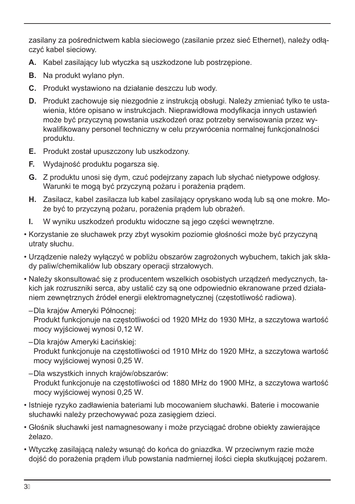zasilany za pośrednictwem kabla sieciowego (zasilanie przez sieć Ethernet), należy odłączyć kabel sieciowy.

- **A.** Kabel zasilający lub wtyczka są uszkodzone lub postrzępione.
- **B.** Na produkt wylano płyn.
- **C.** Produkt wystawiono na działanie deszczu lub wody.
- **D.** Produkt zachowuje się niezgodnie z instrukcją obsługi. Należy zmieniać tylko te ustawienia, które opisano w instrukcjach. Nieprawidłowa modyfikacja innych ustawień może być przyczyną powstania uszkodzeń oraz potrzeby serwisowania przez wykwalifikowany personel techniczny w celu przywrócenia normalnej funkcjonalności produktu.
- **E.** Produkt został upuszczony lub uszkodzony.
- **F.** Wydajność produktu pogarsza się.
- **G.** Z produktu unosi się dym, czuć podejrzany zapach lub słychać nietypowe odgłosy. Warunki te mogą być przyczyną pożaru i porażenia prądem.
- **H.** Zasilacz, kabel zasilacza lub kabel zasilający opryskano wodą lub są one mokre. Może być to przyczyną pożaru, porażenia prądem lub obrażeń.
- **I.** W wyniku uszkodzeń produktu widoczne są jego części wewnętrzne.
- Korzystanie ze słuchawek przy zbyt wysokim poziomie głośności może być przyczyną utraty słuchu.
- Urządzenie należy wyłączyć w pobliżu obszarów zagrożonych wybuchem, takich jak składy paliw/chemikaliów lub obszary operacji strzałowych.
- Należy skonsultować się z producentem wszelkich osobistych urządzeń medycznych, takich jak rozruszniki serca, aby ustalić czy są one odpowiednio ekranowane przed działaniem zewnętrznych źródeł energii elektromagnetycznej (częstotliwość radiowa).
	- –Dla krajów Ameryki Północnej: Produkt funkcjonuje na częstotliwości od 1920 MHz do 1930 MHz, a szczytowa wartość mocy wyjściowej wynosi 0,12 W.
	- –Dla krajów Ameryki Łacińskiej: Produkt funkcjonuje na częstotliwości od 1910 MHz do 1920 MHz, a szczytowa wartość mocy wyjściowej wynosi 0,25 W.
	- –Dla wszystkich innych krajów/obszarów: Produkt funkcjonuje na częstotliwości od 1880 MHz do 1900 MHz, a szczytowa wartość mocy wyjściowej wynosi 0,25 W.
- Istnieje ryzyko zadławienia bateriami lub mocowaniem słuchawki. Baterie i mocowanie słuchawki należy przechowywać poza zasięgiem dzieci.
- Głośnik słuchawki jest namagnesowany i może przyciągać drobne obiekty zawierające żelazo.
- Wtyczkę zasilającą należy wsunąć do końca do gniazdka. W przeciwnym razie może dojść do porażenia prądem i/lub powstania nadmiernej ilości ciepła skutkującej pożarem.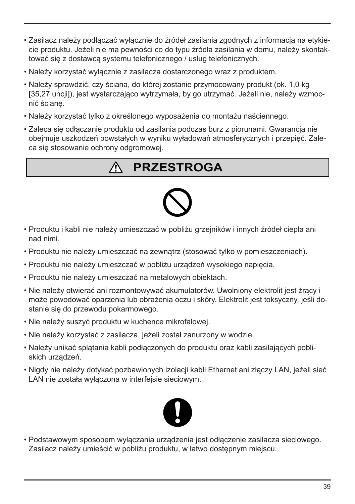- Zasilacz należy podłączać wyłącznie do źródeł zasilania zgodnych z informacją na etykiecie produktu. Jeżeli nie ma pewności co do typu źródła zasilania w domu, należy skontaktować się z dostawcą systemu telefonicznego / usług telefonicznych.
- Należy korzystać wyłącznie z zasilacza dostarczonego wraz z produktem.
- Należy sprawdzić, czy ściana, do której zostanie przymocowany produkt (ok. 1,0 kg [35,27 uncji]), jest wystarczająco wytrzymała, by go utrzymać. Jeżeli nie, należy wzmocnić ścianę.
- Należy korzystać tylko z określonego wyposażenia do montażu naściennego.
- Zaleca się odłączanie produktu od zasilania podczas burz z piorunami. Gwarancja nie obejmuje uszkodzeń powstałych w wyniku wyładowań atmosferycznych i przepięć. Zaleca się stosowanie ochrony odgromowej.

## **PRZESTROGA**



- Produktu i kabli nie należy umieszczać w pobliżu grzejników i innych źródeł ciepła ani nad nimi.
- Produktu nie należy umieszczać na zewnątrz (stosować tylko w pomieszczeniach).
- Produktu nie należy umieszczać w pobliżu urządzeń wysokiego napięcia.
- Produktu nie należy umieszczać na metalowych obiektach.
- Nie należy otwierać ani rozmontowywać akumulatorów. Uwolniony elektrolit jest żrący i może powodować oparzenia lub obrażenia oczu i skóry. Elektrolit jest toksyczny, jeśli dostanie się do przewodu pokarmowego.
- Nie należy suszyć produktu w kuchence mikrofalowej.
- Nie należy korzystać z zasilacza, jeżeli został zanurzony w wodzie.
- Należy unikać splątania kabli podłączonych do produktu oraz kabli zasilających pobliskich urządzeń.
- Nigdy nie należy dotykać pozbawionych izolacji kabli Ethernet ani złączy LAN, jeżeli sieć LAN nie została wyłączona w interfejsie sieciowym.



• Podstawowym sposobem wyłączania urządzenia jest odłączenie zasilacza sieciowego. Zasilacz należy umieścić w pobliżu produktu, w łatwo dostępnym miejscu.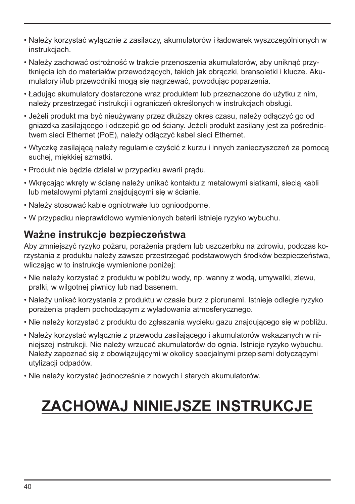- Należy korzystać wyłącznie z zasilaczy, akumulatorów i ładowarek wyszczególnionych w instrukcjach.
- Należy zachować ostrożność w trakcie przenoszenia akumulatorów, aby uniknąć przytknięcia ich do materiałów przewodzących, takich jak obrączki, bransoletki i klucze. Akumulatory i/lub przewodniki mogą się nagrzewać, powodując poparzenia.
- Ładując akumulatory dostarczone wraz produktem lub przeznaczone do użytku z nim, należy przestrzegać instrukcji i ograniczeń określonych w instrukcjach obsługi.
- Jeżeli produkt ma być nieużywany przez dłuższy okres czasu, należy odłączyć go od gniazdka zasilającego i odczepić go od ściany. Jeżeli produkt zasilany jest za pośrednictwem sieci Ethernet (PoE), należy odłączyć kabel sieci Ethernet.
- Wtyczkę zasilającą należy regularnie czyścić z kurzu i innych zanieczyszczeń za pomocą suchej, miękkiej szmatki.
- Produkt nie będzie działał w przypadku awarii prądu.
- Wkręcając wkręty w ścianę należy unikać kontaktu z metalowymi siatkami, siecią kabli lub metalowymi płytami znajdującymi się w ścianie.
- Należy stosować kable ogniotrwałe lub ognioodporne.
- W przypadku nieprawidłowo wymienionych baterii istnieje ryzyko wybuchu.

#### **Ważne instrukcje bezpieczeństwa**

Aby zmniejszyć ryzyko pożaru, porażenia prądem lub uszczerbku na zdrowiu, podczas korzystania z produktu należy zawsze przestrzegać podstawowych środków bezpieczeństwa, wliczając w to instrukcje wymienione poniżej:

- Nie należy korzystać z produktu w pobliżu wody, np. wanny z wodą, umywalki, zlewu, pralki, w wilgotnej piwnicy lub nad basenem.
- Należy unikać korzystania z produktu w czasie burz z piorunami. Istnieje odległe ryzyko porażenia prądem pochodzącym z wyładowania atmosferycznego.
- Nie należy korzystać z produktu do zgłaszania wycieku gazu znajdującego się w pobliżu.
- Należy korzystać wyłącznie z przewodu zasilającego i akumulatorów wskazanych w niniejszej instrukcji. Nie należy wrzucać akumulatorów do ognia. Istnieje ryzyko wybuchu. Należy zapoznać się z obowiązującymi w okolicy specjalnymi przepisami dotyczącymi utylizacji odpadów.
- Nie należy korzystać jednocześnie z nowych i starych akumulatorów.

# **ZACHOWAJ NINIEJSZE INSTRUKCJE**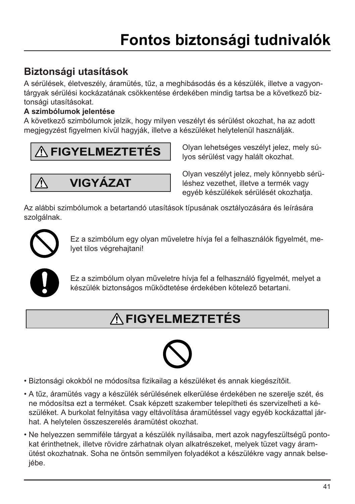### **Biztonsági utasítások**

A sérülések, életveszély, áramütés, tűz, a meghibásodás és a készülék, illetve a vagyontárgyak sérülési kockázatának csökkentése érdekében mindig tartsa be a következő biztonsági utasításokat.

#### **A szimbólumok jelentése**

A következő szimbólumok jelzik, hogy milyen veszélyt és sérülést okozhat, ha az adott megjegyzést figyelmen kívül hagyják, illetve a készüléket helytelenül használják.

# **FIGYELMEZTETÉS**

$$
\overbrace{\triangle} \text{VIGYÁZAT}
$$

Olyan lehetséges veszélyt jelez, mely súlyos sérülést vagy halált okozhat.

Olyan veszélyt jelez, mely könnyebb sérüléshez vezethet, illetve a termék vagy egyéb készülékek sérülését okozhatja.

Az alábbi szimbólumok a betartandó utasítások típusának osztályozására és leírására szolgálnak.



Ez a szimbólum egy olyan műveletre hívja fel a felhasználók figyelmét, melyet tilos végrehajtani!



Ez a szimbólum olyan műveletre hívja fel a felhasználó figyelmét, melyet a készülék biztonságos működtetése érdekében kötelező betartani.

# **FIGYELMEZTETÉS**



- Biztonsági okokból ne módosítsa fizikailag a készüléket és annak kiegészítőit.
- A tűz, áramütés vagy a készülék sérülésének elkerülése érdekében ne szerelje szét, és ne módosítsa ezt a terméket. Csak képzett szakember telepítheti és szervizelheti a készüléket. A burkolat felnyitása vagy eltávolítása áramütéssel vagy egyéb kockázattal járhat. A helytelen összeszerelés áramütést okozhat.
- Ne helyezzen semmiféle tárgyat a készülék nyílásaiba, mert azok nagyfeszültségű pontokat érinthetnek, illetve rövidre zárhatnak olyan alkatrészeket, melyek tüzet vagy áramütést okozhatnak. Soha ne öntsön semmilyen folyadékot a készülékre vagy annak belseiébe.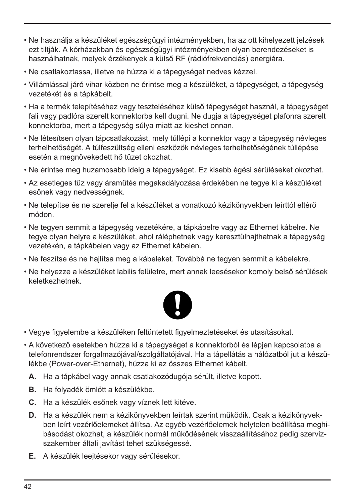- Ne használja a készüléket egészségügyi intézményekben, ha az ott kihelyezett jelzések ezt tiltják. A kórházakban és egészségügyi intézményekben olyan berendezéseket is használhatnak, melyek érzékenyek a külső RF (rádiófrekvenciás) energiára.
- Ne csatlakoztassa, illetve ne húzza ki a tápegységet nedves kézzel.
- Villámlással járó vihar közben ne érintse meg a készüléket, a tápegységet, a tápegység vezetékét és a tápkábelt.
- Ha a termék telepítéséhez vagy teszteléséhez külső tápegységet használ, a tápegységet fali vagy padlóra szerelt konnektorba kell dugni. Ne dugja a tápegységet plafonra szerelt konnektorba, mert a tápegység súlya miatt az kieshet onnan.
- Ne létesítsen olyan tápcsatlakozást, mely túllépi a konnektor vagy a tápegység névleges terhelhetőségét. A túlfeszültség elleni eszközök névleges terhelhetőségének túllépése esetén a megnövekedett hő tüzet okozhat.
- Ne érintse meg huzamosabb ideig a tápegységet. Ez kisebb égési sérüléseket okozhat.
- Az esetleges tűz vagy áramütés megakadályozása érdekében ne tegye ki a készüléket esőnek vagy nedvességnek.
- Ne telepítse és ne szerelje fel a készüléket a vonatkozó kézikönyvekben leírttól eltérő módon.
- Ne tegyen semmit a tápegység vezetékére, a tápkábelre vagy az Ethernet kábelre. Ne tegye olyan helyre a készüléket, ahol ráléphetnek vagy keresztülhajthatnak a tápegység vezetékén, a tápkábelen vagy az Ethernet kábelen.
- Ne feszítse és ne hajlítsa meg a kábeleket. Továbbá ne tegyen semmit a kábelekre.
- Ne helyezze a készüléket labilis felületre, mert annak leesésekor komoly belső sérülések keletkezhetnek.



- Vegye figyelembe a készüléken feltüntetett figyelmeztetéseket és utasításokat.
- A következő esetekben húzza ki a tápegységet a konnektorból és lépjen kapcsolatba a telefonrendszer forgalmazójával/szolgáltatójával. Ha a tápellátás a hálózatból jut a készülékbe (Power-over-Ethernet), húzza ki az összes Ethernet kábelt.
	- **A.** Ha a tápkábel vagy annak csatlakozódugója sérült, illetve kopott.
	- **B.** Ha folyadék ömlött a készülékbe.
	- **C.** Ha a készülék esőnek vagy víznek lett kitéve.
	- **D.** Ha a készülék nem a kézikönyvekben leírtak szerint működik. Csak a kézikönyvekben leírt vezérlőelemeket állítsa. Az egyéb vezérlőelemek helytelen beállítása meghibásodást okozhat, a készülék normál működésének visszaállításához pedig szervizszakember általi javítást tehet szükségessé.
	- **E.** A készülék leejtésekor vagy sérülésekor.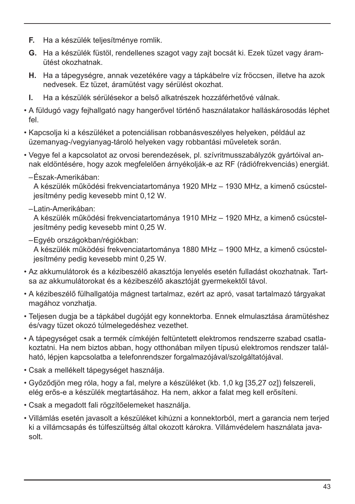- **F.** Ha a készülék teljesítménye romlik.
- **G.** Ha a készülék füstöl, rendellenes szagot vagy zajt bocsát ki. Ezek tüzet vagy áramütést okozhatnak.
- **H.** Ha a tápegységre, annak vezetékére vagy a tápkábelre víz fröccsen, illetve ha azok nedvesek. Ez tüzet, áramütést vagy sérülést okozhat.
- **I.** Ha a készülék sérülésekor a belső alkatrészek hozzáférhetővé válnak.
- A füldugó vagy fejhallgató nagy hangerővel történő használatakor halláskárosodás léphet  $f \nightharpoonup l$
- Kapcsolja ki a készüléket a potenciálisan robbanásveszélyes helyeken, például az üzemanyag-/vegyianyag-tároló helyeken vagy robbantási műveletek során.
- Vegye fel a kapcsolatot az orvosi berendezések, pl. szívritmusszabályzók gyártóival annak eldöntésére, hogy azok megfelelően árnyékolják-e az RF (rádiófrekvenciás) energiát.
	- –Észak-Amerikában:

A készülék működési frekvenciatartománya 1920 MHz – 1930 MHz, a kimenő csúcsteljesítmény pedig kevesebb mint 0,12 W.

–Latin-Amerikában:

A készülék működési frekvenciatartománya 1910 MHz – 1920 MHz, a kimenő csúcsteljesítmény pedig kevesebb mint 0,25 W.

–Egyéb országokban/régiókban:

A készülék működési frekvenciatartománya 1880 MHz – 1900 MHz, a kimenő csúcsteljesítmény pedig kevesebb mint 0,25 W.

- Az akkumulátorok és a kézibeszélő akasztója lenyelés esetén fulladást okozhatnak. Tartsa az akkumulátorokat és a kézibeszélő akasztóját gyermekektől távol.
- A kézibeszélő fülhallgatója mágnest tartalmaz, ezért az apró, vasat tartalmazó tárgyakat magához vonzhatja.
- Teljesen dugja be a tápkábel dugóját egy konnektorba. Ennek elmulasztása áramütéshez és/vagy tüzet okozó túlmelegedéshez vezethet.
- A tápegységet csak a termék címkéjén feltüntetett elektromos rendszerre szabad csatlakoztatni. Ha nem biztos abban, hogy otthonában milyen típusú elektromos rendszer található, lépjen kapcsolatba a telefonrendszer forgalmazójával/szolgáltatójával.
- Csak a mellékelt tápegységet használja.
- Győződjön meg róla, hogy a fal, melyre a készüléket (kb. 1,0 kg [35,27 oz]) felszereli, elég erős-e a készülék megtartásához. Ha nem, akkor a falat meg kell erősíteni.
- Csak a megadott fali rögzítőelemeket használja.
- Villámlás esetén javasolt a készüléket kihúzni a konnektorból, mert a garancia nem terjed ki a villámcsapás és túlfeszültség által okozott károkra. Villámvédelem használata javasolt.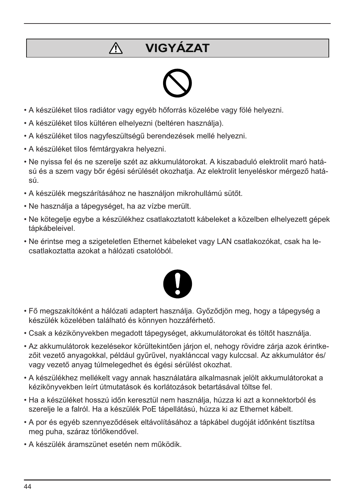# **VIGYÁZAT**



- A készüléket tilos radiátor vagy egyéb hőforrás közelébe vagy fölé helyezni.
- A készüléket tilos kültéren elhelyezni (beltéren használja).

 $\bigwedge$ 

- A készüléket tilos nagyfeszültségű berendezések mellé helyezni.
- A készüléket tilos fémtárgyakra helyezni.
- Ne nyissa fel és ne szerelje szét az akkumulátorokat. A kiszabaduló elektrolit maró hatású és a szem vagy bőr égési sérülését okozhatja. Az elektrolit lenyeléskor mérgező hatású.
- A készülék megszárításához ne használjon mikrohullámú sütőt.
- Ne használja a tápegységet, ha az vízbe merült.
- Ne kötegelje egybe a készülékhez csatlakoztatott kábeleket a közelben elhelyezett gépek tápkábeleivel.
- Ne érintse meg a szigeteletlen Ethernet kábeleket vagy LAN csatlakozókat, csak ha lecsatlakoztatta azokat a hálózati csatolóból.



- Fő megszakítóként a hálózati adaptert használja. Győződjön meg, hogy a tápegység a készülék közelében található és könnyen hozzáférhető.
- Csak a kézikönyvekben megadott tápegységet, akkumulátorokat és töltőt használja.
- Az akkumulátorok kezelésekor körültekintően járjon el, nehogy rövidre zárja azok érintkezőit vezető anyagokkal, például gyűrűvel, nyaklánccal vagy kulccsal. Az akkumulátor és/ vagy vezető anyag túlmelegedhet és égési sérülést okozhat.
- A készülékhez mellékelt vagy annak használatára alkalmasnak jelölt akkumulátorokat a kézikönyvekben leírt útmutatások és korlátozások betartásával töltse fel.
- Ha a készüléket hosszú időn keresztül nem használja, húzza ki azt a konnektorból és szerelje le a falról. Ha a készülék PoE tápellátású, húzza ki az Ethernet kábelt.
- A por és egyéb szennyeződések eltávolításához a tápkábel dugóját időnként tisztítsa meg puha, száraz törlőkendővel.
- A készülék áramszünet esetén nem működik.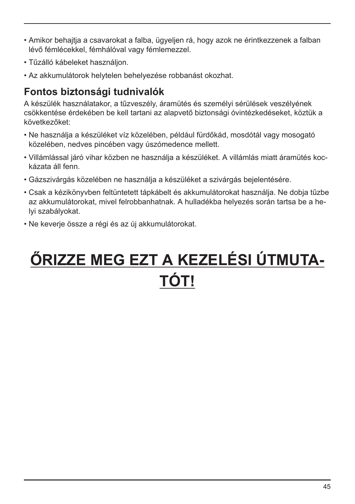- Amikor behajtja a csavarokat a falba, ügyeljen rá, hogy azok ne érintkezzenek a falban lévő fémlécekkel, fémhálóval vagy fémlemezzel.
- Tűzálló kábeleket használjon.
- Az akkumulátorok helytelen behelyezése robbanást okozhat.

#### **Fontos biztonsági tudnivalók**

A készülék használatakor, a tűzveszély, áramütés és személyi sérülések veszélyének csökkentése érdekében be kell tartani az alapvető biztonsági óvintézkedéseket, köztük a következőket:

- Ne használja a készüléket víz közelében, például fürdőkád, mosdótál vagy mosogató közelében, nedves pincében vagy úszómedence mellett.
- Villámlással járó vihar közben ne használja a készüléket. A villámlás miatt áramütés kockázata áll fenn.
- Gázszivárgás közelében ne használja a készüléket a szivárgás bejelentésére.
- Csak a kézikönyvben feltüntetett tápkábelt és akkumulátorokat használja. Ne dobja tűzbe az akkumulátorokat, mivel felrobbanhatnak. A hulladékba helyezés során tartsa be a helyi szabályokat.
- Ne keverje össze a régi és az új akkumulátorokat.

# **ŐRIZZE MEG EZT A KEZELÉSI ÚTMUTA-TÓT!**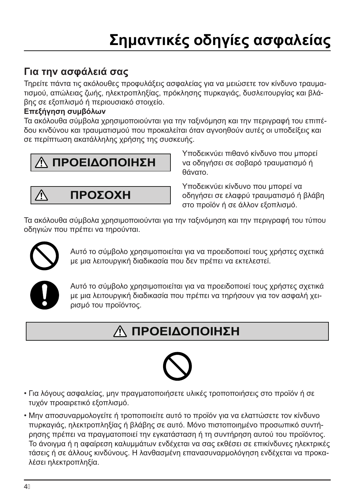# **Σημαντικές οδηγίες ασφαλείας**

### **Για την ασφάλειά σας**

Τηρείτε πάντα τις ακόλουθες προφυλάξεις ασφαλείας για να μειώσετε τον κίνδυνο τραυματισμού, απώλειας ζωής, ηλεκτροπληξίας, πρόκλησης πυρκαγιάς, δυσλειτουργίας και βλάβης σε εξοπλισμό ή περιουσιακό στοιχείο.

#### **Επεξήγηση συμβόλων**

Τα ακόλουθα σύμβολα χρησιμοποιούνται για την ταξινόμηση και την περιγραφή του επιπέδου κινδύνου και τραυματισμού που προκαλείται όταν αγνοηθούν αυτές οι υποδείξεις και σε περίπτωση ακατάλληλης χρήσης της συσκευής.

# **ΠΡΟΕΙΔΟΠΟΙΗΣΗ**

**ΠΡΟΣΟΧΗ**

Υποδεικνύει πιθανό κίνδυνο που μπορεί να οδηγήσει σε σοβαρό τραυματισμό ή θάνατο.

Υποδεικνύει κίνδυνο που μπορεί να οδηγήσει σε ελαφρύ τραυματισμό ή βλάβη στο προϊόν ή σε άλλον εξοπλισμό.

Τα ακόλουθα σύμβολα χρησιμοποιούνται για την ταξινόμηση και την περιγραφή του τύπου οδηγιών που πρέπει να τηρούνται.



Λ

Αυτό το σύμβολο χρησιμοποιείται για να προειδοποιεί τους χρήστες σχετικά με μια λειτουργική διαδικασία που δεν πρέπει να εκτελεστεί.



Αυτό το σύμβολο χρησιμοποιείται για να προειδοποιεί τους χρήστες σχετικά με μια λειτουργική διαδικασία που πρέπει να τηρήσουν για τον ασφαλή χειρισμό του προϊόντος.

# **ΠΡΟΕΙΔΟΠΟΙΗΣΗ**



- Για λόγους ασφαλείας, μην πραγματοποιήσετε υλικές τροποποιήσεις στο προϊόν ή σε τυχόν προαιρετικό εξοπλισμό.
- Μην αποσυναρμολογείτε ή τροποποιείτε αυτό το προϊόν για να ελαττώσετε τον κίνδυνο πυρκαγιάς, ηλεκτροπληξίας ή βλάβης σε αυτό. Μόνο πιστοποιημένο προσωπικό συντήρησης πρέπει να πραγματοποιεί την εγκατάσταση ή τη συντήρηση αυτού του προϊόντος. Το άνοιγμα ή η αφαίρεση καλυμμάτων ενδέχεται να σας εκθέσει σε επικίνδυνες ηλεκτρικές τάσεις ή σε άλλους κινδύνους. Η λανθασμένη επανασυναρμολόγηση ενδέχεται να προκαλέσει ηλεκτροπληξία.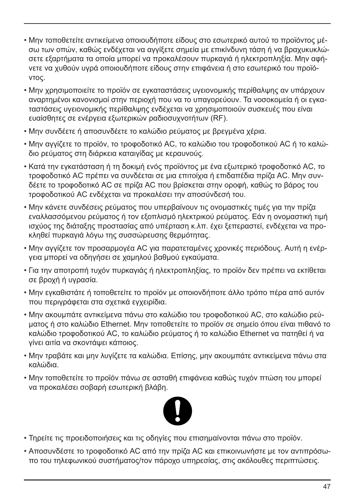- Μην τοποθετείτε αντικείμενα οποιουδήποτε είδους στο εσωτερικό αυτού το προϊόντος μέσω των οπών, καθώς ενδέχεται να αγγίξετε σημεία με επικίνδυνη τάση ή να βραχυκυκλώσετε εξαρτήματα τα οποία μπορεί να προκαλέσουν πυρκαγιά ή ηλεκτροπληξία. Μην αφήνετε να χυθούν υγρά οποιουδήποτε είδους στην επιφάνεια ή στο εσωτερικό του προϊόντος.
- Μην χρησιμοποιείτε το προϊόν σε εγκαταστάσεις υγειονομικής περίθαλψης αν υπάρχουν αναρτημένοι κανονισμοί στην περιοχή που να το υπαγορεύουν. Τα νοσοκομεία ή οι εγκαταστάσεις υγειονομικής περίθαλψης ενδέχεται να χρησιμοποιούν συσκευές που είναι ευαίσθητες σε ενέργεια εξωτερικών ραδιοσυχνοτήτων (RF).
- Μην συνδέετε ή αποσυνδέετε το καλώδιο ρεύματος με βρεγμένα χέρια.
- Μην αγγίζετε το προϊόν, το τροφοδοτικό AC, το καλώδιο του τροφοδοτικού AC ή το καλώδιο ρεύματος στη διάρκεια καταιγίδας με κεραυνούς.
- Κατά την εγκατάσταση ή τη δοκιμή ενός προϊόντος με ένα εξωτερικό τροφοδοτικό AC, το τροφοδοτικό AC πρέπει να συνδέεται σε μια επιτοίχια ή επιδαπέδια πρίζα AC. Μην συνδέετε το τροφοδοτικό AC σε πρίζα AC που βρίσκεται στην οροφή, καθώς το βάρος του τροφοδοτικού AC ενδέχεται να προκαλέσει την αποσύνδεσή του.
- Μην κάνετε συνδέσεις ρεύματος που υπερβαίνουν τις ονομαστικές τιμές για την πρίζα εναλλασσόμενου ρεύματος ή τον εξοπλισμό ηλεκτρικού ρεύματος. Εάν η ονομαστική τιμή ισχύος της διάταξης προστασίας από υπέρταση κ.λπ. έχει ξεπεραστεί, ενδέχεται να προκληθεί πυρκαγιά λόγω της συσσώρευσης θερμότητας.
- Μην αγγίζετε τον προσαρμογέα AC για παρατεταμένες χρονικές περιόδους. Αυτή η ενέργεια μπορεί να οδηγήσει σε χαμηλού βαθμού εγκαύματα.
- Για την αποτροπή τυχόν πυρκαγιάς ή ηλεκτροπληξίας, το προϊόν δεν πρέπει να εκτίθεται σε βροχή ή υγρασία.
- Μην εγκαθιστάτε ή τοποθετείτε το προϊόν με οποιονδήποτε άλλο τρόπο πέρα από αυτόν που περιγράφεται στα σχετικά εγχειρίδια.
- Μην ακουμπάτε αντικείμενα πάνω στο καλώδιο του τροφοδοτικού AC, στο καλώδιο ρεύματος ή στο καλώδιο Ethernet. Μην τοποθετείτε το προϊόν σε σημείο όπου είναι πιθανό το καλώδιο τροφοδοτικού AC, το καλώδιο ρεύματος ή το καλώδιο Ethernet να πατηθεί ή να γίνει αιτία να σκοντάψει κάποιος.
- Μην τραβάτε και μην λυγίζετε τα καλώδια. Επίσης, μην ακουμπάτε αντικείμενα πάνω στα καλώδια.
- Μην τοποθετείτε το προϊόν πάνω σε ασταθή επιφάνεια καθώς τυχόν πτώση του μπορεί να προκαλέσει σοβαρή εσωτερική βλάβη.



- Τηρείτε τις προειδοποιήσεις και τις οδηγίες που επισημαίνονται πάνω στο προϊόν.
- Αποσυνδέστε το τροφοδοτικό AC από την πρίζα AC και επικοινωνήστε με τον αντιπρόσωπο του τηλεφωνικού συστήματος/τον πάροχο υπηρεσίας, στις ακόλουθες περιπτώσεις.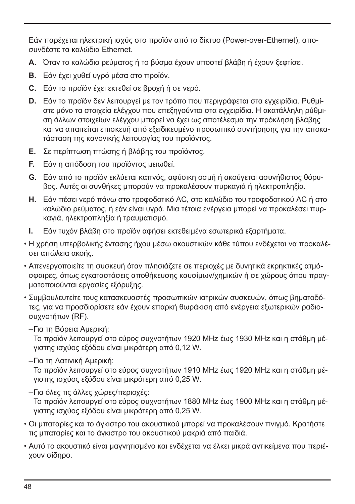Εάν παρέχεται ηλεκτρική ισχύς στο προϊόν από το δίκτυο (Power-over-Ethernet), αποσυνδέστε τα καλώδια Ethernet.

- **A.** Όταν το καλώδιο ρεύματος ή το βύσμα έχουν υποστεί βλάβη ή έχουν ξεφτίσει.
- **B.** Εάν έχει χυθεί υγρό μέσα στο προϊόν.
- **C.** Εάν το προϊόν έχει εκτεθεί σε βροχή ή σε νερό.
- **D.** Εάν το προϊόν δεν λειτουργεί με τον τρόπο που περιγράφεται στα εγχειρίδια. Ρυθμίστε μόνο τα στοιχεία ελέγχου που επεξηγούνται στα εγχειρίδια. Η ακατάλληλη ρύθμιση άλλων στοιχείων ελέγχου μπορεί να έχει ως αποτέλεσμα την πρόκληση βλάβης και να απαιτείται επισκευή από εξειδικευμένο προσωπικό συντήρησης για την αποκατάσταση της κανονικής λειτουργίας του προϊόντος.
- **E.** Σε περίπτωση πτώσης ή βλάβης του προϊόντος.
- **F.** Εάν η απόδοση του προϊόντος μειωθεί.
- **G.** Εάν από το προϊόν εκλύεται καπνός, αφύσικη οσμή ή ακούγεται ασυνήθιστος θόρυβος. Αυτές οι συνθήκες μπορούν να προκαλέσουν πυρκαγιά ή ηλεκτροπληξία.
- **H.** Εάν πέσει νερό πάνω στο τροφοδοτικό AC, στο καλώδιο του τροφοδοτικού AC ή στο καλώδιο ρεύματος, ή εάν είναι υγρά. Μια τέτοια ενέργεια μπορεί να προκαλέσει πυρκαγιά, ηλεκτροπληξία ή τραυματισμό.
- **I.** Εάν τυχόν βλάβη στο προϊόν αφήσει εκτεθειμένα εσωτερικά εξαρτήματα.
- Η χρήση υπερβολικής έντασης ήχου μέσω ακουστικών κάθε τύπου ενδέχεται να προκαλέσει απώλεια ακοής.
- Απενεργοποιείτε τη συσκευή όταν πλησιάζετε σε περιοχές με δυνητικά εκρηκτικές ατμόσφαιρες, όπως εγκαταστάσεις αποθήκευσης καυσίμων/χημικών ή σε χώρους όπου πραγματοποιούνται εργασίες εξόρυξης.
- Συμβουλευτείτε τους κατασκευαστές προσωπικών ιατρικών συσκευών, όπως βηματοδότες, για να προσδιορίσετε εάν έχουν επαρκή θωράκιση από ενέργεια εξωτερικών ραδιοσυχνοτήτων (RF).
	- –Για τη Βόρεια Αμερική:

Το προϊόν λειτουργεί στο εύρος συχνοτήτων 1920 MHz έως 1930 MHz και η στάθμη μέγιστης ισχύος εξόδου είναι μικρότερη από 0,12 W.

–Για τη Λατινική Αμερική:

Το προϊόν λειτουργεί στο εύρος συχνοτήτων 1910 MHz έως 1920 MHz και η στάθμη μέγιστης ισχύος εξόδου είναι μικρότερη από 0,25 W.

- –Για όλες τις άλλες χώρες/περιοχές: Το προϊόν λειτουργεί στο εύρος συχνοτήτων 1880 MHz έως 1900 MHz και η στάθμη μέγιστης ισχύος εξόδου είναι μικρότερη από 0,25 W.
- Οι μπαταρίες και το άγκιστρο του ακουστικού μπορεί να προκαλέσουν πνιγμό. Κρατήστε τις μπαταρίες και το άγκιστρο του ακουστικού μακριά από παιδιά.
- Αυτό το ακουστικό είναι μαγνητισμένο και ενδέχεται να έλκει μικρά αντικείμενα που περιέχουν σίδηρο.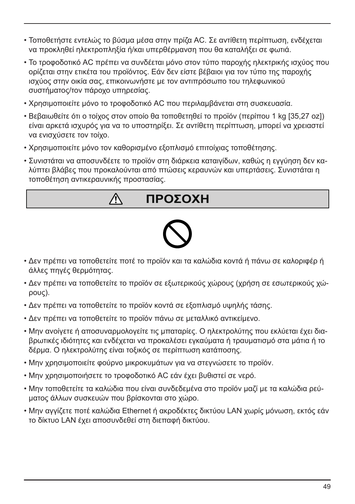- Τοποθετήστε εντελώς το βύσμα μέσα στην πρίζα AC. Σε αντίθετη περίπτωση, ενδέχεται να προκληθεί ηλεκτροπληξία ή/και υπερθέρμανση που θα καταλήξει σε φωτιά.
- Το τροφοδοτικό AC πρέπει να συνδέεται μόνο στον τύπο παροχής ηλεκτρικής ισχύος που ορίζεται στην ετικέτα του προϊόντος. Εάν δεν είστε βέβαιοι για τον τύπο της παροχής ισχύος στην οικία σας, επικοινωνήστε με τον αντιπρόσωπο του τηλεφωνικού συστήματος/τον πάροχο υπηρεσίας.
- Χρησιμοποιείτε μόνο το τροφοδοτικό AC που περιλαμβάνεται στη συσκευασία.
- Βεβαιωθείτε ότι ο τοίχος στον οποίο θα τοποθετηθεί το προϊόν (περίπου 1 kg [35,27 oz]) είναι αρκετά ισχυρός για να το υποστηρίξει. Σε αντίθετη περίπτωση, μπορεί να χρειαστεί να ενισχύσετε τον τοίχο.
- Χρησιμοποιείτε μόνο τον καθορισμένο εξοπλισμό επιτοίχιας τοποθέτησης.

八

• Συνιστάται να αποσυνδέετε το προϊόν στη διάρκεια καταιγίδων, καθώς η εγγύηση δεν καλύπτει βλάβες που προκαλούνται από πτώσεις κεραυνών και υπερτάσεις. Συνιστάται η τοποθέτηση αντικεραυνικής προστασίας.

# **ΠΡΟΣΟΧΗ**



- Δεν πρέπει να τοποθετείτε ποτέ το προϊόν και τα καλώδια κοντά ή πάνω σε καλοριφέρ ή άλλες πηγές θερμότητας.
- Δεν πρέπει να τοποθετείτε το προϊόν σε εξωτερικούς χώρους (χρήση σε εσωτερικούς χώρους).
- Δεν πρέπει να τοποθετείτε το προϊόν κοντά σε εξοπλισμό υψηλής τάσης.
- Δεν πρέπει να τοποθετείτε το προϊόν πάνω σε μεταλλικό αντικείμενο.
- Μην ανοίγετε ή αποσυναρμολογείτε τις μπαταρίες. Ο ηλεκτρολύτης που εκλύεται έχει διαβρωτικές ιδιότητες και ενδέχεται να προκαλέσει εγκαύματα ή τραυματισμό στα μάτια ή το δέρμα. Ο ηλεκτρολύτης είναι τοξικός σε περίπτωση κατάποσης.
- Μην χρησιμοποιείτε φούρνο μικροκυμάτων για να στεγνώσετε το προϊόν.
- Μην χρησιμοποιήσετε το τροφοδοτικό AC εάν έχει βυθιστεί σε νερό.
- Μην τοποθετείτε τα καλώδια που είναι συνδεδεμένα στο προϊόν μαζί με τα καλώδια ρεύματος άλλων συσκευών που βρίσκονται στο χώρο.
- Μην αγγίζετε ποτέ καλώδια Ethernet ή ακροδέκτες δικτύου LAN χωρίς μόνωση, εκτός εάν το δίκτυο LAN έχει αποσυνδεθεί στη διεπαφή δικτύου.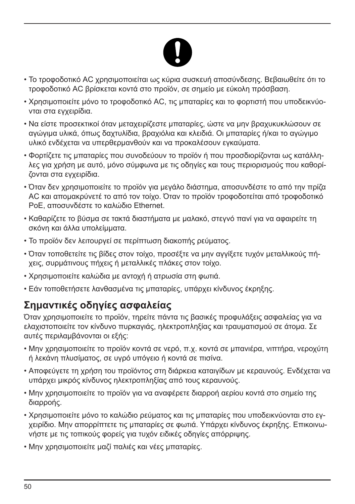- Το τροφοδοτικό AC χρησιμοποιείται ως κύρια συσκευή αποσύνδεσης. Βεβαιωθείτε ότι το τροφοδοτικό AC βρίσκεται κοντά στο προϊόν, σε σημείο με εύκολη πρόσβαση.
- Χρησιμοποιείτε μόνο το τροφοδοτικό AC, τις μπαταρίες και το φορτιστή που υποδεικνύονται στα εγχειρίδια.
- Να είστε προσεκτικοί όταν μεταχειρίζεστε μπαταρίες, ώστε να μην βραχυκυκλώσουν σε αγώγιμα υλικά, όπως δαχτυλίδια, βραχιόλια και κλειδιά. Οι μπαταρίες ή/και το αγώγιμο υλικό ενδέχεται να υπερθερμανθούν και να προκαλέσουν εγκαύματα.
- Φορτίζετε τις μπαταρίες που συνοδεύουν το προϊόν ή που προσδιορίζονται ως κατάλληλες για χρήση με αυτό, μόνο σύμφωνα με τις οδηγίες και τους περιορισμούς που καθορίζονται στα εγχειρίδια.
- Όταν δεν χρησιμοποιείτε το προϊόν για μεγάλο διάστημα, αποσυνδέστε το από την πρίζα AC και απομακρύνετέ το από τον τοίχο. Όταν το προϊόν τροφοδοτείται από τροφοδοτικό PoE, αποσυνδέστε το καλώδιο Ethernet.
- Καθαρίζετε το βύσμα σε τακτά διαστήματα με μαλακό, στεγνό πανί για να αφαιρείτε τη σκόνη και άλλα υπολείμματα.
- Το προϊόν δεν λειτουργεί σε περίπτωση διακοπής ρεύματος.
- Όταν τοποθετείτε τις βίδες στον τοίχο, προσέξτε να μην αγγίξετε τυχόν μεταλλικούς πήχεις, συρμάτινους πήχεις ή μεταλλικές πλάκες στον τοίχο.
- Χρησιμοποιείτε καλώδια με αντοχή ή ατρωσία στη φωτιά.
- Εάν τοποθετήσετε λανθασμένα τις μπαταρίες, υπάρχει κίνδυνος έκρηξης.

### **Σημαντικές οδηγίες ασφαλείας**

Όταν χρησιμοποιείτε το προϊόν, τηρείτε πάντα τις βασικές προφυλάξεις ασφαλείας για να ελαχιστοποιείτε τον κίνδυνο πυρκαγιάς, ηλεκτροπληξίας και τραυματισμού σε άτομα. Σε αυτές περιλαμβάνονται οι εξής:

- Μην χρησιμοποιείτε το προϊόν κοντά σε νερό, π.χ. κοντά σε μπανιέρα, νιπτήρα, νεροχύτη ή λεκάνη πλυσίματος, σε υγρό υπόγειο ή κοντά σε πισίνα.
- Αποφεύγετε τη χρήση του προϊόντος στη διάρκεια καταιγίδων με κεραυνούς. Ενδέχεται να υπάρχει μικρός κίνδυνος ηλεκτροπληξίας από τους κεραυνούς.
- Μην χρησιμοποιείτε το προϊόν για να αναφέρετε διαρροή αερίου κοντά στο σημείο της διαρροής.
- Χρησιμοποιείτε μόνο το καλώδιο ρεύματος και τις μπαταρίες που υποδεικνύονται στο εγχειρίδιο. Μην απορρίπτετε τις μπαταρίες σε φωτιά. Υπάρχει κίνδυνος έκρηξης. Επικοινωνήστε με τις τοπικούς φορείς για τυχόν ειδικές οδηγίες απόρριψης.
- Μην χρησιμοποιείτε μαζί παλιές και νέες μπαταρίες.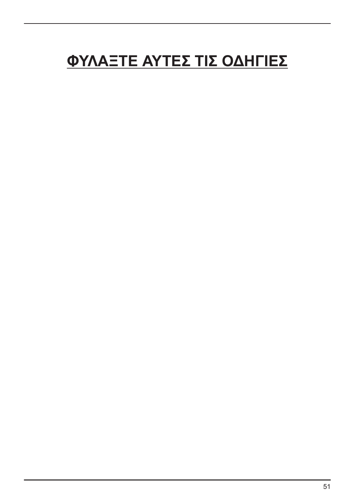# **ΦΥΛΑΞΤΕ ΑΥΤΕΣ ΤΙΣ ΟΔΗΓΙΕΣ**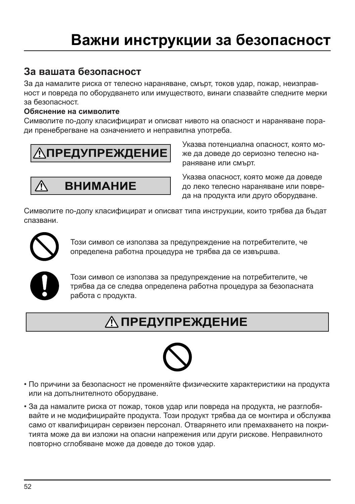### **За вашата безопасност**

За да намалите риска от телесно нараняване, смърт, токов удар, пожар, неизправност и повреда по оборудването или имуществото, винаги спазвайте следните мерки за безопасност.

#### **Обяснение на символите**

Символите по-долу класифицират и описват нивото на опасност и нараняване поради пренебрегване на означението и неправилна употреба.

 **ПРЕДУПРЕЖДЕНИЕ**

**ВНИМАНИЕ** ⁄i\

Указва потенциална опасност, която може да доведе до сериозно телесно нараняване или смърт.

Указва опасност, която може да доведе до леко телесно нараняване или повреда на продукта или друго оборудване.

Символите по-долу класифицират и описват типа инструкции, които трябва да бъдат спазвани.



Този символ се използва за предупреждение на потребителите, че определена работна процедура не трябва да се извършва.



Този символ се използва за предупреждение на потребителите, че трябва да се следва определена работна процедура за безопасната работа с продукта.

# **ПРЕДУПРЕЖДЕНИЕ**



- По причини за безопасност не променяйте физическите характеристики на продукта или на допълнителното оборудване.
- За да намалите риска от пожар, токов удар или повреда на продукта, не разглобявайте и не модифицирайте продукта. Този продукт трябва да се монтира и обслужва само от квалифициран сервизен персонал. Отварянето или премахването на покритията може да ви изложи на опасни напрежения или други рискове. Неправилното повторно сглобяване може да доведе до токов удар.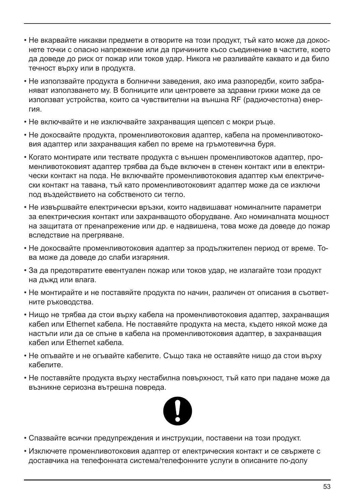- Не вкарвайте никакви предмети в отворите на този продукт, тъй като може да докоснете точки с опасно напрежение или да причините късо съединение в частите, което да доведе до риск от пожар или токов удар. Никога не разливайте каквато и да било течност върху или в продукта.
- Не използвайте продукта в болнични заведения, ако има разпоредби, които забраняват използването му. В болниците или центровете за здравни грижи може да се използват устройства, които са чувствителни на външна RF (радиочестотна) енергия.
- Не включвайте и не изключвайте захранващия щепсел с мокри ръце.
- Не докосвайте продукта, променливотоковия адаптер, кабела на променливотоковия адаптер или захранващия кабел по време на гръмотевична буря.
- Когато монтирате или тествате продукта с външен променливотоков адаптер, променливотоковият адаптер трябва да бъде включен в стенен контакт или в електрически контакт на пода. Не включвайте променливотоковия адаптер към електрически контакт на тавана, тъй като променливотоковият адаптер може да се изключи под въздействието на собственото си тегло.
- Не извършвайте електрически връзки, които надвишават номиналните параметри за електрическия контакт или захранващото оборудване. Ако номиналната мощност на защитата от пренапрежение или др. е надвишена, това може да доведе до пожар вследствие на прегряване.
- Не докосвайте променливотоковия адаптер за продължителен период от време. Това може да доведе до слаби изгаряния.
- За да предотвратите евентуален пожар или токов удар, не излагайте този продукт на дъжд или влага.
- Не монтирайте и не поставяйте продукта по начин, различен от описания в съответните ръководства.
- Нищо не трябва да стои върху кабела на променливотоковия адаптер, захранващия кабел или Ethernet кабела. Не поставяйте продукта на места, където някой може да настъпи или да се спъне в кабела на променливотоковия адаптер, в захранващия кабел или Ethernet кабела.
- Не опъвайте и не огъвайте кабелите. Също така не оставяйте нищо да стои върху кабелите.
- Не поставяйте продукта върху нестабилна повърхност, тъй като при падане може да възникне сериозна вътрешна повреда.



- Спазвайте всички предупреждения и инструкции, поставени на този продукт.
- Изключете променливотоковия адаптер от електрическия контакт и се свържете с доставчика на телефонната система/телефонните услуги в описаните по-долу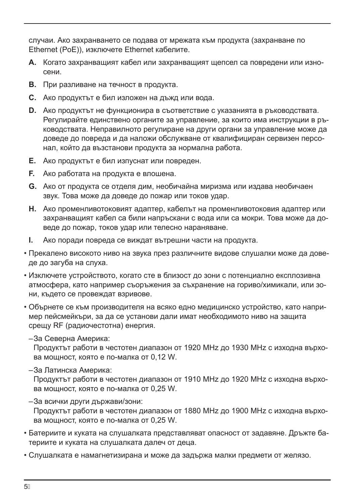случаи. Ако захранването се подава от мрежата към продукта (захранване по Ethernet (PoE)), изключете Ethernet кабелите.

- **A.** Когато захранващият кабел или захранващият щепсел са повредени или износени.
- **B.** При разливане на течност в продукта.
- **C.** Ако продуктът е бил изложен на дъжд или вода.
- **D.** Ако продуктът не функционира в съответствие с указанията в ръководствата. Регулирайте единствено органите за управление, за които има инструкции в ръководствата. Неправилното регулиране на други органи за управление може да доведе до повреда и да наложи обслужване от квалифициран сервизен персонал, който да възстанови продукта за нормална работа.
- **E.** Ако продуктът е бил изпуснат или повреден.
- **F.** Ако работата на продукта е влошена.
- **G.** Ако от продукта се отделя дим, необичайна миризма или издава необичаен звук. Това може да доведе до пожар или токов удар.
- **H.** Ако променливотоковият адаптер, кабелът на променливотоковия адаптер или захранващият кабел са били напръскани с вода или са мокри. Това може да доведе до пожар, токов удар или телесно нараняване.
- **I.** Ако поради повреда се виждат вътрешни части на продукта.
- Прекалено високото ниво на звука през различните видове слушалки може да доведе до загуба на слуха.
- Изключете устройството, когато сте в близост до зони с потенциално експлозивна атмосфера, като например съоръжения за съхранение на гориво/химикали, или зони, където се провеждат взривове.
- Обърнете се към производителя на всяко едно медицинско устройство, като например пейсмейкъри, за да се установи дали имат необходимото ниво на защита срещу RF (радиочестотна) енергия.
	- –За Северна Америка:

Продуктът работи в честотен диапазон от 1920 MHz до 1930 MHz с изходна върхова мощност, която е по-малка от 0,12 W.

–За Латинска Америка:

Продуктът работи в честотен диапазон от 1910 MHz до 1920 MHz с изходна върхова мощност, която е по-малка от 0,25 W.

–За всички други държави/зони:

Продуктът работи в честотен диапазон от 1880 MHz до 1900 MHz с изходна върхова мощност, която е по-малка от 0,25 W.

- Батериите и куката на слушалката представляват опасност от задавяне. Дръжте батериите и куката на слушалката далеч от деца.
- Слушалката е намагнетизирана и може да задържа малки предмети от желязо.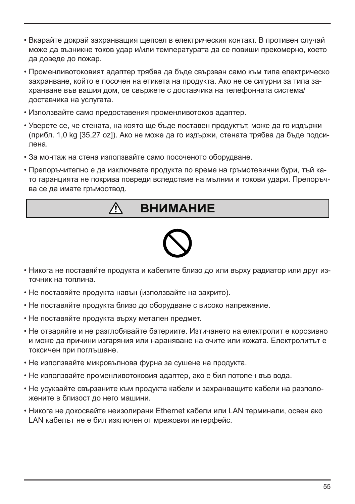- Вкарайте докрай захранващия щепсел в електрическия контакт. В противен случай може да възникне токов удар и/или температурата да се повиши прекомерно, което да доведе до пожар.
- Променливотоковият адаптер трябва да бъде свързван само към типа електрическо захранване, който е посочен на етикета на продукта. Ако не се сигурни за типа захранване във вашия дом, се свържете с доставчика на телефонната система/ доставчика на услугата.
- Използвайте само предоставения променливотоков адаптер.
- Уверете се, че стената, на която ще бъде поставен продуктът, може да го издържи (прибл. 1,0 kg [35,27 oz]). Ако не може да го издържи, стената трябва да бъде подсилена.
- За монтаж на стена използвайте само посоченото оборудване.
- Препоръчително е да изключвате продукта по време на гръмотевични бури, тъй като гаранцията не покрива повреди вследствие на мълнии и токови удари. Препоръчва се да имате гръмоотвод.

#### **ВНИМАНИЕ** Ą



- Никога не поставяйте продукта и кабелите близо до или върху радиатор или друг източник на топлина.
- Не поставяйте продукта навън (използвайте на закрито).
- Не поставяйте продукта близо до оборудване с високо напрежение.
- Не поставяйте продукта върху метален предмет.
- Не отваряйте и не разглобявайте батериите. Изтичането на електролит е корозивно и може да причини изгаряния или нараняване на очите или кожата. Електролитът е токсичен при поглъщане.
- Не използвайте микровълнова фурна за сушене на продукта.
- Не използвайте променливотоковия адаптер, ако е бил потопен във вода.
- Не усуквайте свързаните към продукта кабели и захранващите кабели на разположените в близост до него машини.
- Никога не докосвайте неизолирани Ethernet кабели или LAN терминали, освен ако LAN кабелът не е бил изключен от мрежовия интерфейс.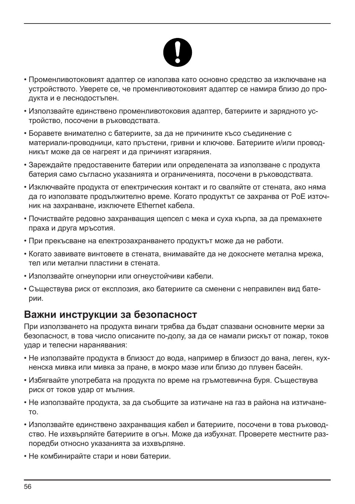

- Променливотоковият адаптер се използва като основно средство за изключване на устройството. Уверете се, че променливотоковият адаптер се намира близо до продукта и е леснодостъпен.
- Използвайте единствено променливотоковия адаптер, батериите и зарядното устройство, посочени в ръководствата.
- Боравете внимателно с батериите, за да не причините късо съединение с материали-проводници, като пръстени, гривни и ключове. Батериите и/или проводникът може да се нагреят и да причинят изгаряния.
- Зареждайте предоставените батерии или определената за използване с продукта батерия само съгласно указанията и ограниченията, посочени в ръководствата.
- Изключвайте продукта от електрическия контакт и го сваляйте от стената, ако няма да го използвате продължително време. Когато продуктът се захранва от PoE източник на захранване, изключете Ethernet кабела.
- Почиствайте редовно захранващия щепсел с мека и суха кърпа, за да премахнете праха и друга мръсотия.
- При прекъсване на електрозахранването продуктът може да не работи.
- Когато завивате винтовете в стената, внимавайте да не докоснете метална мрежа, тел или метални пластини в стената.
- Използвайте огнеупорни или огнеустойчиви кабели.
- Съществува риск от експлозия, ако батериите са сменени с неправилен вид батерии.

#### **Важни инструкции за безопасност**

При използването на продукта винаги трябва да бъдат спазвани основните мерки за безопасност, в това число описаните по-долу, за да се намали рискът от пожар, токов удар и телесни наранявания:

- Не използвайте продукта в близост до вода, например в близост до вана, леген, кухненска мивка или мивка за пране, в мокро мазе или близо до плувен басейн.
- Избягвайте употребата на продукта по време на гръмотевична буря. Съществува риск от токов удар от мълния.
- Не използвайте продукта, за да съобщите за изтичане на газ в района на изтичането.
- Използвайте единствено захранващия кабел и батериите, посочени в това ръководство. Не изхвърляйте батериите в огън. Може да избухнат. Проверете местните разпоредби относно указанията за изхвърляне.
- Не комбинирайте стари и нови батерии.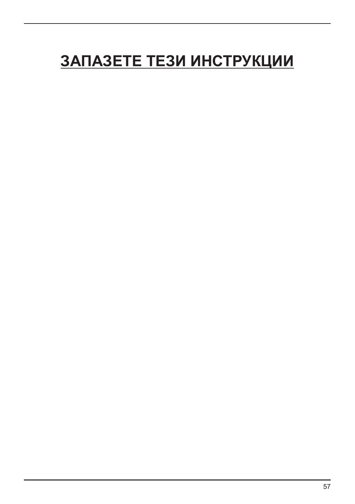# **ЗАПАЗЕТЕ ТЕЗИ ИНСТРУКЦИИ**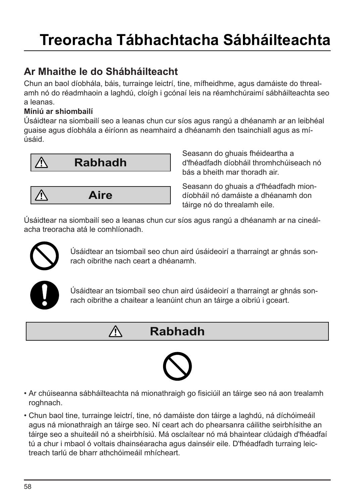### **Ar Mhaithe le do Shábháilteacht**

Chun an baol díobhála, báis, turrainge leictrí, tine, mífheidhme, agus damáiste do threalamh nó do réadmhaoin a laghdú, cloígh i gcónaí leis na réamhchúraimí sábháilteachta seo a leanas.

#### **Míniú ar shiombailí**

Úsáidtear na siombailí seo a leanas chun cur síos agus rangú a dhéanamh ar an leibhéal guaise agus díobhála a éiríonn as neamhaird a dhéanamh den tsainchiall agus as míúsáid.



**Aire**

Λ

Seasann do ghuais fhéideartha a d'fhéadfadh díobháil thromhchúiseach nó bás a bheith mar thoradh air.

Seasann do ghuais a d'fhéadfadh miondíobháil nó damáiste a dhéanamh don táirge nó do threalamh eile.

Úsáidtear na siombailí seo a leanas chun cur síos agus rangú a dhéanamh ar na cineálacha treoracha atá le comhlíonadh.



⁄≬\

Úsáidtear an tsiombail seo chun aird úsáideoirí a tharraingt ar ghnás sonrach oibrithe nach ceart a dhéanamh.



Úsáidtear an tsiombail seo chun aird úsáideoirí a tharraingt ar ghnás sonrach oibrithe a chaitear a leanúint chun an táirge a oibriú i gceart.

### **Rabhadh**



- Ar chúiseanna sábháilteachta ná mionathraigh go fisiciúil an táirge seo ná aon trealamh roghnach.
- Chun baol tine, turrainge leictrí, tine, nó damáiste don táirge a laghdú, ná díchóimeáil agus ná mionathraigh an táirge seo. Ní ceart ach do phearsanra cáilithe seirbhísithe an táirge seo a shuiteáil nó a sheirbhísiú. Má osclaítear nó má bhaintear clúdaigh d'fhéadfaí tú a chur i mbaol ó voltais dhainséaracha agus dainséir eile. D'fhéadfadh turraing leictreach tarlú de bharr athchóimeáil mhícheart.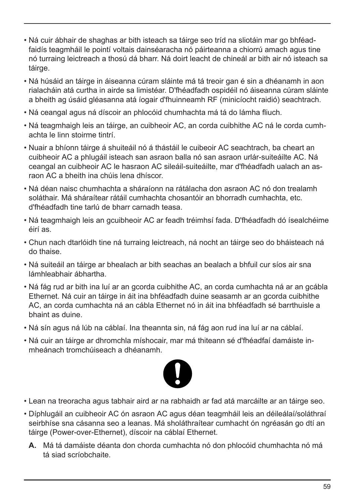- Ná cuir ábhair de shaghas ar bith isteach sa táirge seo tríd na sliotáin mar go bhféadfaidís teagmháil le pointí voltais dainséaracha nó páirteanna a chiorrú amach agus tine nó turraing leictreach a thosú dá bharr. Ná doirt leacht de chineál ar bith air nó isteach sa táirge.
- Ná húsáid an táirge in áiseanna cúram sláinte má tá treoir gan é sin a dhéanamh in aon rialacháin atá curtha in airde sa limistéar. D'fhéadfadh ospidéil nó áiseanna cúram sláinte a bheith ag úsáid gléasanna atá íogair d'fhuinneamh RF (minicíocht raidió) seachtrach.
- Ná ceangal agus ná díscoir an phlocóid chumhachta má tá do lámha fliuch.
- Ná teagmhaigh leis an táirge, an cuibheoir AC, an corda cuibhithe AC ná le corda cumhachta le linn stoirme tintrí.
- Nuair a bhíonn táirge á shuiteáil nó á thástáil le cuibeoir AC seachtrach, ba cheart an cuibheoir AC a phlugáil isteach san asraon balla nó san asraon urlár-suiteáilte AC. Ná ceangal an cuibheoir AC le hasraon AC sileáil-suiteáilte, mar d'fhéadfadh ualach an asraon AC a bheith ina chúis lena dhíscor.
- Ná déan naisc chumhachta a sháraíonn na rátálacha don asraon AC nó don trealamh soláthair. Má sháraítear rátáil cumhachta chosantóir an bhorradh cumhachta, etc. d'fhéadfadh tine tarlú de bharr carnadh teasa.
- Ná teagmhaigh leis an gcuibheoir AC ar feadh tréimhsí fada. D'fhéadfadh dó ísealchéime éirí as.
- Chun nach dtarlóidh tine ná turraing leictreach, ná nocht an táirge seo do bháisteach ná do thaise.
- Ná suiteáil an táirge ar bhealach ar bith seachas an bealach a bhfuil cur síos air sna lámhleabhair ábhartha.
- Ná fág rud ar bith ina luí ar an gcorda cuibhithe AC, an corda cumhachta ná ar an gcábla Ethernet. Ná cuir an táirge in áit ina bhféadfadh duine seasamh ar an gcorda cuibhithe AC, an corda cumhachta ná an cábla Ethernet nó in áit ina bhféadfadh sé barrthuisle a bhaint as duine.
- Ná sín agus ná lúb na cáblaí. Ina theannta sin, ná fág aon rud ina luí ar na cáblaí.
- Ná cuir an táirge ar dhromchla míshocair, mar má thiteann sé d'fhéadfaí damáiste inmheánach tromchúiseach a dhéanamh.



- Lean na treoracha agus tabhair aird ar na rabhaidh ar fad atá marcáilte ar an táirge seo.
- Díphlugáil an cuibheoir AC ón asraon AC agus déan teagmháil leis an déileálaí/soláthraí seirbhíse sna cásanna seo a leanas. Má sholáthraítear cumhacht ón ngréasán go dtí an táirge (Power-over-Ethernet), díscoir na cáblaí Ethernet.
	- **A.** Má tá damáiste déanta don chorda cumhachta nó don phlocóid chumhachta nó má tá siad scríobchaite.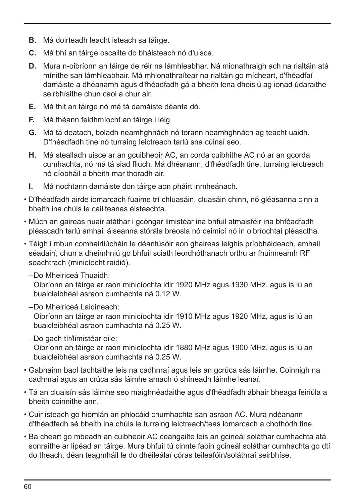- **B.** Má doirteadh leacht isteach sa táirge.
- **C.** Má bhí an táirge oscailte do bháisteach nó d'uisce.
- **D.** Mura n-oibríonn an táirge de réir na lámhleabhar. Ná mionathraigh ach na rialtáin atá mínithe san lámhleabhair. Má mhionathraítear na rialtáin go mícheart, d'fhéadfaí damáiste a dhéanamh agus d'fhéadfadh gá a bheith lena dheisiú ag ionad údaraithe seirbhísithe chun caoi a chur air.
- **E.** Má thit an táirge nó má tá damáiste déanta dó.
- **F.** Má théann feidhmíocht an táirge i léig.
- **G.** Má tá deatach, boladh neamhghnách nó torann neamhghnách ag teacht uaidh. D'fhéadfadh tine nó turraing leictreach tarlú sna cúinsí seo.
- **H.** Má stealladh uisce ar an gcuibheoir AC, an corda cuibhithe AC nó ar an gcorda cumhachta, nó má tá siad fliuch. Má dhéanann, d'fhéadfadh tine, turraing leictreach nó díobháil a bheith mar thoradh air.
- **I.** Má nochtann damáiste don táirge aon pháirt inmheánach.
- D'fhéadfadh airde iomarcach fuaime trí chluasáin, cluasáin chinn, nó gléasanna cinn a bheith ina chúis le caillteanas éisteachta.
- Múch an gaireas nuair atáthar i gcóngar limistéar ina bhfuil atmaisféir ina bhféadfadh pléascadh tarlú amhail áiseanna stórála breosla nó ceimicí nó in oibríochtaí pléasctha.
- Téigh i mbun comhairliúcháin le déantúsóir aon ghaireas leighis príobháideach, amhail séadairí, chun a dheimhniú go bhfuil sciath leordhóthanach orthu ar fhuinneamh RF seachtrach (minicíocht raidió).
	- –Do Mheiriceá Thuaidh:

Oibríonn an táirge ar raon minicíochta idir 1920 MHz agus 1930 MHz, agus is lú an buaicleibhéal asraon cumhachta ná 0.12 W.

–Do Mheiriceá Laidineach:

Oibríonn an táirge ar raon minicíochta idir 1910 MHz agus 1920 MHz, agus is lú an buaicleibhéal asraon cumhachta ná 0.25 W.

–Do gach tír/limistéar eile:

Oibríonn an táirge ar raon minicíochta idir 1880 MHz agus 1900 MHz, agus is lú an buaicleibhéal asraon cumhachta ná 0.25 W.

- Gabhainn baol tachtaithe leis na cadhnraí agus leis an gcrúca sás láimhe. Coinnigh na cadhnraí agus an crúca sás láimhe amach ó shíneadh láimhe leanaí.
- Tá an cluaisín sás láimhe seo maighnéadaithe agus d'fhéadfadh ábhair bheaga feiriúla a bheith coinnithe ann.
- Cuir isteach go hiomlán an phlocáid chumhachta san asraon AC. Mura ndéanann d'fhéadfadh sé bheith ina chúis le turraing leictreach/teas iomarcach a chothódh tine.
- Ba cheart go mbeadh an cuibheoir AC ceangailte leis an gcineál soláthar cumhachta atá sonraithe ar lipéad an táirge. Mura bhfuil tú cinnte faoin gcineál soláthar cumhachta go dtí do theach, déan teagmháil le do dhéileálaí córas teileafóin/soláthraí seirbhíse.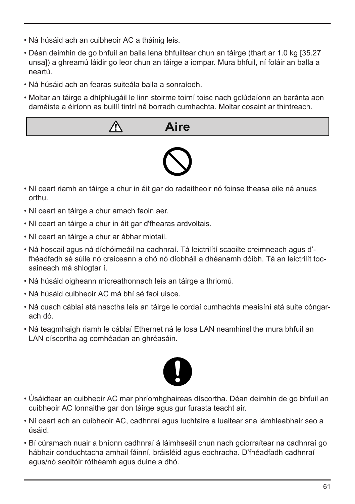- Ná húsáid ach an cuibheoir AC a tháinig leis.
- Déan deimhin de go bhfuil an balla lena bhfuiltear chun an táirge (thart ar 1.0 kg [35.27 unsa]) a ghreamú láidir go leor chun an táirge a iompar. Mura bhfuil, ní foláir an balla a neartú.
- Ná húsáid ach an fearas suiteála balla a sonraíodh.
- Moltar an táirge a dhíphlugáil le linn stoirme toirní toisc nach gclúdaíonn an baránta aon damáiste a éiríonn as buillí tintrí ná borradh cumhachta. Moltar cosaint ar thintreach.
	- **Aire**



- Ní ceart riamh an táirge a chur in áit gar do radaitheoir nó foinse theasa eile ná anuas orthu.
- Ní ceart an táirge a chur amach faoin aer.
- Ní ceart an táirge a chur in áit gar d'fhearas ardvoltais.
- Ní ceart an táirge a chur ar ábhar miotail.
- Ná hoscail agus ná díchóimeáil na cadhnraí. Tá leictrilítí scaoilte creimneach agus d' fhéadfadh sé súile nó craiceann a dhó nó díobháil a dhéanamh dóibh. Tá an leictrilít tocsaineach má shlogtar í.
- Ná húsáid oigheann micreathonnach leis an táirge a thriomú.
- Ná húsáid cuibheoir AC má bhí sé faoi uisce.
- Ná cuach cáblaí atá nasctha leis an táirge le cordaí cumhachta meaisíní atá suite cóngarach dó.
- Ná teagmhaigh riamh le cáblaí Ethernet ná le losa LAN neamhinslithe mura bhfuil an LAN díscortha ag comhéadan an ghréasáin.



- Úsáidtear an cuibheoir AC mar phríomhghaireas díscortha. Déan deimhin de go bhfuil an cuibheoir AC lonnaithe gar don táirge agus gur furasta teacht air.
- Ní ceart ach an cuibheoir AC, cadhnraí agus luchtaire a luaitear sna lámhleabhair seo a úsáid.
- Bí cúramach nuair a bhíonn cadhnraí á láimhseáil chun nach gciorraítear na cadhnraí go hábhair conduchtacha amhail fáinní, bráisléid agus eochracha. D'fhéadfadh cadhnraí agus/nó seoltóir róthéamh agus duine a dhó.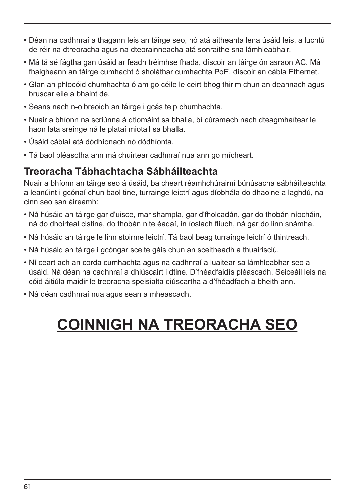- Déan na cadhnraí a thagann leis an táirge seo, nó atá aitheanta lena úsáid leis, a luchtú de réir na dtreoracha agus na dteorainneacha atá sonraithe sna lámhleabhair.
- Má tá sé fágtha gan úsáid ar feadh tréimhse fhada, díscoir an táirge ón asraon AC. Má fhaigheann an táirge cumhacht ó sholáthar cumhachta PoE, díscoir an cábla Ethernet.
- Glan an phlocóid chumhachta ó am go céile le ceirt bhog thirim chun an deannach agus bruscar eile a bhaint de.
- Seans nach n-oibreoidh an táirge i gcás teip chumhachta.
- Nuair a bhíonn na scriúnna á dtiomáint sa bhalla, bí cúramach nach dteagmhaítear le haon lata sreinge ná le plataí miotail sa bhalla.
- Úsáid cáblaí atá dódhíonach nó dódhíonta.
- Tá baol pléasctha ann má chuirtear cadhnraí nua ann go mícheart.

#### **Treoracha Tábhachtacha Sábháilteachta**

Nuair a bhíonn an táirge seo á úsáid, ba cheart réamhchúraimí búnúsacha sábháilteachta a leanúint i gcónaí chun baol tine, turrainge leictrí agus díobhála do dhaoine a laghdú, na cinn seo san áireamh:

- Ná húsáid an táirge gar d'uisce, mar shampla, gar d'fholcadán, gar do thobán níocháin, ná do dhoirteal cistine, do thobán nite éadaí, in íoslach fliuch, ná gar do linn snámha.
- Ná húsáid an táirge le linn stoirme leictrí. Tá baol beag turrainge leictrí ó thintreach.
- Ná húsáid an táirge i gcóngar sceite gáis chun an sceitheadh a thuairisciú.
- Ní ceart ach an corda cumhachta agus na cadhnraí a luaitear sa lámhleabhar seo a úsáid. Ná déan na cadhnraí a dhiúscairt i dtine. D'fhéadfaidís pléascadh. Seiceáil leis na cóid áitiúla maidir le treoracha speisialta diúscartha a d'fhéadfadh a bheith ann.
- Ná déan cadhnraí nua agus sean a mheascadh.

# **COINNIGH NA TREORACHA SEO**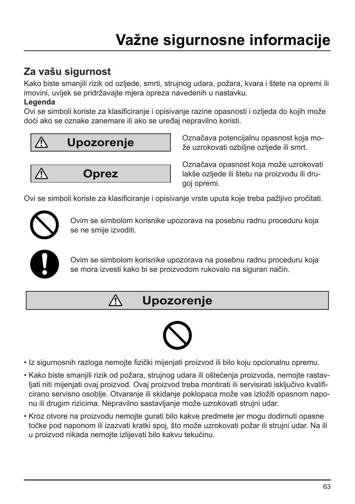### **Za vašu sigurnost**

Kako biste smanjili rizik od ozljede, smrti, strujnog udara, požara, kvara i štete na opremi ili imovini, uvijek se pridržavajte mjera opreza navedenih u nastavku.

#### **Legenda**

Ovi se simboli koriste za klasificiranje i opisivanje razine opasnosti i ozljeda do kojih može doći ako se oznake zanemare ili ako se uređaj nepravilno koristi.



Označava potencijalnu opasnost koja može uzrokovati ozbiljne ozljede ili smrt.

**Oprez**

Λ

Označava opasnost koja može uzrokovati lakše ozljede ili štetu na proizvodu ili drugoj opremi.

Ovi se simboli koriste za klasificiranje i opisivanje vrste uputa koje treba pažljivo pročitati.



Ovim se simbolom korisnike upozorava na posebnu radnu proceduru koja se ne smije izvoditi.



Ovim se simbolom korisnike upozorava na posebnu radnu proceduru koja se mora izvesti kako bi se proizvodom rukovalo na siguran način.

### **Upozorenje**



- Iz sigurnosnih razloga nemojte fizički mijenjati proizvod ili bilo koju opcionalnu opremu.
- Kako biste smanjili rizik od požara, strujnog udara ili oštećenja proizvoda, nemojte rastavljati niti mijenjati ovaj proizvod. Ovaj proizvod treba montirati ili servisirati isključivo kvalificirano servisno osoblje. Otvaranje ili skidanje poklopaca može vas izložiti opasnom naponu ili drugim rizicima. Nepravilno sastavljanje može uzrokovati strujni udar.
- Kroz otvore na proizvodu nemojte gurati bilo kakve predmete jer mogu dodirnuti opasne točke pod naponom ili izazvati kratki spoj, što može uzrokovati požar ili strujni udar. Na ili u proizvod nikada nemojte izlijevati bilo kakvu tekućinu.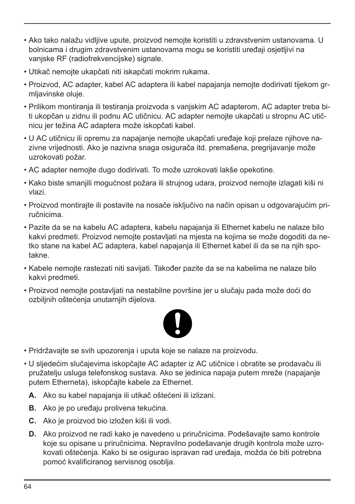- Ako tako nalažu vidljive upute, proizvod nemojte koristiti u zdravstvenim ustanovama. U bolnicama i drugim zdravstvenim ustanovama mogu se koristiti uređaji osjetljivi na vanjske RF (radiofrekvencijske) signale.
- Utikač nemojte ukapčati niti iskapčati mokrim rukama.
- Proizvod, AC adapter, kabel AC adaptera ili kabel napajanja nemojte dodirivati tijekom grmljavinske oluje.
- Prilikom montiranja ili testiranja proizvoda s vanjskim AC adapterom, AC adapter treba biti ukopčan u zidnu ili podnu AC utičnicu. AC adapter nemojte ukapčati u stropnu AC utičnicu jer težina AC adaptera može iskopčati kabel.
- U AC utičnicu ili opremu za napajanje nemojte ukapčati uređaje koji prelaze njihove nazivne vrijednosti. Ako je nazivna snaga osigurača itd. premašena, pregrijavanje može uzrokovati požar.
- AC adapter nemojte dugo dodirivati. To može uzrokovati lakše opekotine.
- Kako biste smanjili mogućnost požara ili strujnog udara, proizvod nemojte izlagati kiši ni vlazi.
- Proizvod montirajte ili postavite na nosače isključivo na način opisan u odgovarajućim priručnicima.
- Pazite da se na kabelu AC adaptera, kabelu napajanja ili Ethernet kabelu ne nalaze bilo kakvi predmeti. Proizvod nemojte postavljati na mjesta na kojima se može dogoditi da netko stane na kabel AC adaptera, kabel napajanja ili Ethernet kabel ili da se na njih spotakne.
- Kabele nemojte rastezati niti savijati. Također pazite da se na kabelima ne nalaze bilo kakvi predmeti.
- Proizvod nemojte postavljati na nestabilne površine jer u slučaju pada može doći do ozbiljnih oštećenja unutarnjih dijelova.



- Pridržavajte se svih upozorenja i uputa koje se nalaze na proizvodu.
- U sljedećim slučajevima iskopčajte AC adapter iz AC utičnice i obratite se prodavaču ili pružatelju usluga telefonskog sustava. Ako se jedinica napaja putem mreže (napajanje putem Etherneta), iskopčajte kabele za Ethernet.
	- **A.** Ako su kabel napajanja ili utikač oštećeni ili izlizani.
	- **B.** Ako je po uređaju prolivena tekućina.
	- **C.** Ako je proizvod bio izložen kiši ili vodi.
	- **D.** Ako proizvod ne radi kako je navedeno u priručnicima. Podešavajte samo kontrole koje su opisane u priručnicima. Nepravilno podešavanje drugih kontrola može uzrokovati oštećenja. Kako bi se osigurao ispravan rad uređaja, možda će biti potrebna pomoć kvalificiranog servisnog osoblja.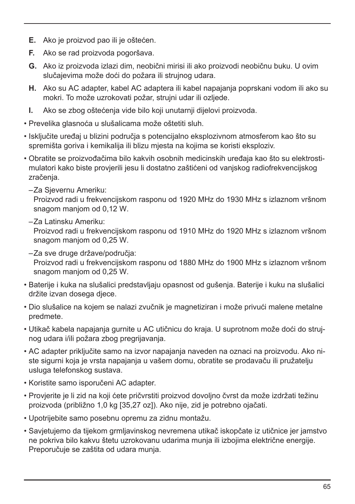- **E.** Ako je proizvod pao ili je oštećen.
- **F.** Ako se rad proizvoda pogoršava.
- **G.** Ako iz proizvoda izlazi dim, neobični mirisi ili ako proizvodi neobičnu buku. U ovim slučajevima može doći do požara ili strujnog udara.
- **H.** Ako su AC adapter, kabel AC adaptera ili kabel napajanja poprskani vodom ili ako su mokri. To može uzrokovati požar, strujni udar ili ozljede.
- **I.** Ako se zbog oštećenja vide bilo koji unutarnji dijelovi proizvoda.
- Prevelika glasnoća u slušalicama može oštetiti sluh.
- Isključite uređaj u blizini područja s potencijalno eksplozivnom atmosferom kao što su spremišta goriva i kemikalija ili blizu mjesta na kojima se koristi eksploziv.
- Obratite se proizvođačima bilo kakvih osobnih medicinskih uređaja kao što su elektrostimulatori kako biste provjerili jesu li dostatno zaštićeni od vanjskog radiofrekvencijskog zračenia.
	- –Za Sjevernu Ameriku:

Proizvod radi u frekvencijskom rasponu od 1920 MHz do 1930 MHz s izlaznom vršnom snagom manjom od 0,12 W.

–Za Latinsku Ameriku:

Proizvod radi u frekvencijskom rasponu od 1910 MHz do 1920 MHz s izlaznom vršnom snagom manjom od 0,25 W.

- –Za sve druge države/područja: Proizvod radi u frekvencijskom rasponu od 1880 MHz do 1900 MHz s izlaznom vršnom snagom manjom od 0,25 W.
- Baterije i kuka na slušalici predstavljaju opasnost od gušenja. Baterije i kuku na slušalici držite izvan dosega djece.
- Dio slušalice na kojem se nalazi zvučnik je magnetiziran i može privući malene metalne predmete.
- Utikač kabela napajanja gurnite u AC utičnicu do kraja. U suprotnom može doći do strujnog udara i/ili požara zbog pregrijavanja.
- AC adapter priključite samo na izvor napajanja naveden na oznaci na proizvodu. Ako niste sigurni koja je vrsta napajanja u vašem domu, obratite se prodavaču ili pružatelju usluga telefonskog sustava.
- Koristite samo isporučeni AC adapter.
- Provjerite je li zid na koji ćete pričvrstiti proizvod dovoljno čvrst da može izdržati težinu proizvoda (približno 1,0 kg [35,27 oz]). Ako nije, zid je potrebno ojačati.
- Upotrijebite samo posebnu opremu za zidnu montažu.
- Savjetujemo da tijekom grmljavinskog nevremena utikač iskopčate iz utičnice jer jamstvo ne pokriva bilo kakvu štetu uzrokovanu udarima munja ili izbojima električne energije. Preporučuje se zaštita od udara munja.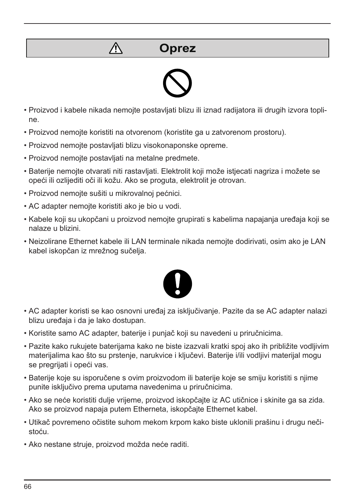## $\bigwedge$

**Oprez**



- Proizvod i kabele nikada nemojte postavljati blizu ili iznad radijatora ili drugih izvora topline.
- Proizvod nemojte koristiti na otvorenom (koristite ga u zatvorenom prostoru).
- Proizvod nemojte postavljati blizu visokonaponske opreme.
- Proizvod nemojte postavljati na metalne predmete.
- Baterije nemojte otvarati niti rastavljati. Elektrolit koji može istjecati nagriza i možete se opeći ili ozlijediti oči ili kožu. Ako se proguta, elektrolit je otrovan.
- Proizvod nemojte sušiti u mikrovalnoj pećnici.
- AC adapter nemojte koristiti ako je bio u vodi.
- Kabele koji su ukopčani u proizvod nemojte grupirati s kabelima napajanja uređaja koji se nalaze u blizini.
- Neizolirane Ethernet kabele ili LAN terminale nikada nemojte dodirivati, osim ako je LAN kabel iskopčan iz mrežnog sučelja.



- AC adapter koristi se kao osnovni uređaj za isključivanje. Pazite da se AC adapter nalazi blizu uređaja i da je lako dostupan.
- Koristite samo AC adapter, baterije i punjač koji su navedeni u priručnicima.
- Pazite kako rukujete baterijama kako ne biste izazvali kratki spoj ako ih približite vodljivim materijalima kao što su prstenje, narukvice i ključevi. Baterije i/ili vodljivi materijal mogu se pregrijati i opeći vas.
- Baterije koje su isporučene s ovim proizvodom ili baterije koje se smiju koristiti s njime punite isključivo prema uputama navedenima u priručnicima.
- Ako se neće koristiti dulje vrijeme, proizvod iskopčajte iz AC utičnice i skinite ga sa zida. Ako se proizvod napaja putem Etherneta, iskopčajte Ethernet kabel.
- Utikač povremeno očistite suhom mekom krpom kako biste uklonili prašinu i drugu nečistoću.
- Ako nestane struje, proizvod možda neće raditi.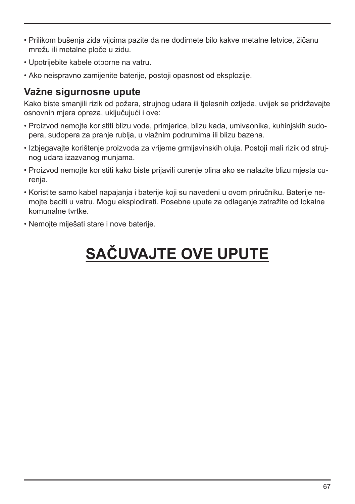- Prilikom bušenja zida vijcima pazite da ne dodirnete bilo kakve metalne letvice, žičanu mrežu ili metalne ploče u zidu.
- Upotrijebite kabele otporne na vatru.
- Ako neispravno zamijenite baterije, postoji opasnost od eksplozije.

#### **Važne sigurnosne upute**

Kako biste smanjili rizik od požara, strujnog udara ili tjelesnih ozljeda, uvijek se pridržavajte osnovnih mjera opreza, uključujući i ove:

- Proizvod nemojte koristiti blizu vode, primjerice, blizu kada, umivaonika, kuhinjskih sudopera, sudopera za pranje rublja, u vlažnim podrumima ili blizu bazena.
- Izbjegavajte korištenje proizvoda za vrijeme grmljavinskih oluja. Postoji mali rizik od strujnog udara izazvanog munjama.
- Proizvod nemojte koristiti kako biste prijavili curenje plina ako se nalazite blizu mjesta curenja.
- Koristite samo kabel napajanja i baterije koji su navedeni u ovom priručniku. Baterije nemojte baciti u vatru. Mogu eksplodirati. Posebne upute za odlaganje zatražite od lokalne komunalne tvrtke.
- Nemojte miješati stare i nove baterije.

# **SAČUVAJTE OVE UPUTE**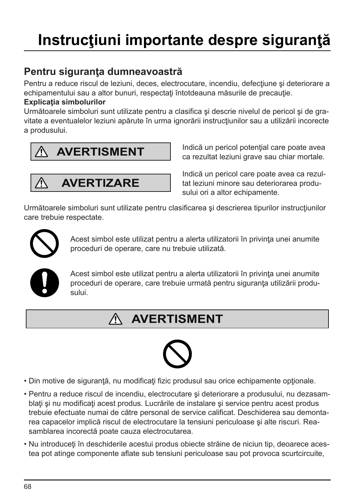### **Pentru siguranţa dumneavoastră**

Pentru a reduce riscul de leziuni, deces, electrocutare, incendiu, defectiune si deteriorare a echipamentului sau a altor bunuri, respectați întotdeauna măsurile de precauție.

#### **Explicaţia simbolurilor**

Următoarele simboluri sunt utilizate pentru a clasifica şi descrie nivelul de pericol şi de gravitate a eventualelor leziuni apărute în urma ignorării instrucțiunilor sau a utilizării incorecte a produsului.





Indică un pericol potențial care poate avea ca rezultat leziuni grave sau chiar mortale.

Indică un pericol care poate avea ca rezultat leziuni minore sau deteriorarea produsului ori a altor echipamente.

Următoarele simboluri sunt utilizate pentru clasificarea și descrierea tipurilor instrucțiunilor care trebuie respectate.



Acest simbol este utilizat pentru a alerta utilizatorii în privința unei anumite proceduri de operare, care nu trebuie utilizată.



Acest simbol este utilizat pentru a alerta utilizatorii în privinţa unei anumite proceduri de operare, care trebuie urmată pentru siguranța utilizării produsului.

#### **AVERTISMENT** ∧



- Din motive de sigurantă, nu modificați fizic produsul sau orice echipamente optionale.
- Pentru a reduce riscul de incendiu, electrocutare şi deteriorare a produsului, nu dezasamblati și nu modificați acest produs. Lucrările de instalare și service pentru acest produs trebuie efectuate numai de către personal de service calificat. Deschiderea sau demontarea capacelor implică riscul de electrocutare la tensiuni periculoase şi alte riscuri. Reasamblarea incorectă poate cauza electrocutarea.
- Nu introduceţi în deschiderile acestui produs obiecte străine de niciun tip, deoarece acestea pot atinge componente aflate sub tensiuni periculoase sau pot provoca scurtcircuite,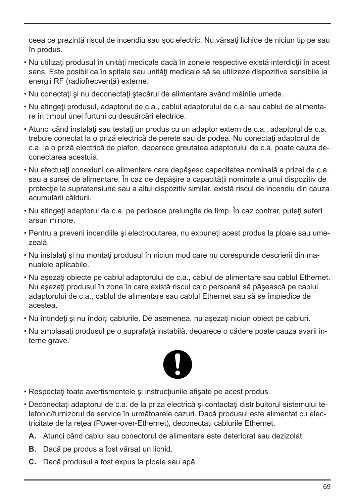ceea ce prezintă riscul de incendiu sau șoc electric. Nu vărsați lichide de niciun tip pe sau în produs.

- Nu utilizati produsul în unități medicale dacă în zonele respective există interdicții în acest sens. Este posibil ca în spitale sau unități medicale să se utilizeze dispozitive sensibile la energii RF (radiofrecventă) externe.
- Nu conectaţi şi nu deconectaţi ştecărul de alimentare având mâinile umede.
- Nu atingeţi produsul, adaptorul de c.a., cablul adaptorului de c.a. sau cablul de alimentare în timpul unei furtuni cu descărcări electrice.
- Atunci când instalaţi sau testaţi un produs cu un adaptor extern de c.a., adaptorul de c.a. trebuie conectat la o priză electrică de perete sau de podea. Nu conectați adaptorul de c.a. la o priză electrică de plafon, deoarece greutatea adaptorului de c.a. poate cauza deconectarea acestuia.
- Nu efectuaţi conexiuni de alimentare care depăşesc capacitatea nominală a prizei de c.a. sau a sursei de alimentare. În caz de depăsire a capacității nominale a unui dispozitiv de protectie la supratensiune sau a altui dispozitiv similar, există riscul de incendiu din cauza acumulării căldurii.
- Nu atingeti adaptorul de c.a. pe perioade prelungite de timp. În caz contrar, puteti suferi arsuri minore.
- Pentru a preveni incendiile si electrocutarea, nu expuneti acest produs la ploaie sau umezeală.
- Nu instalati si nu montati produsul în niciun mod care nu corespunde descrierii din manualele aplicabile.
- Nu asezati obiecte pe cablul adaptorului de c.a., cablul de alimentare sau cablul Ethernet. Nu aşezaţi produsul în zone în care există riscul ca o persoană să păşească pe cablul adaptorului de c.a., cablul de alimentare sau cablul Ethernet sau să se împiedice de acestea.
- Nu întindeţi şi nu îndoiţi cablurile. De asemenea, nu aşezaţi niciun obiect pe cabluri.
- Nu amplasaţi produsul pe o suprafaţă instabilă, deoarece o cădere poate cauza avarii interne grave.



- Respectati toate avertismentele și instrucțiunile afișate pe acest produs.
- Deconectați adaptorul de c.a. de la priza electrică și contactați distribuitorul sistemului telefonic/furnizorul de service în următoarele cazuri. Dacă produsul este alimentat cu electricitate de la retea (Power-over-Ethernet), deconectati cablurile Ethernet.
	- **A.** Atunci când cablul sau conectorul de alimentare este deteriorat sau dezizolat.
	- **B.** Dacă pe produs a fost vărsat un lichid.
	- **C.** Dacă produsul a fost expus la ploaie sau apă.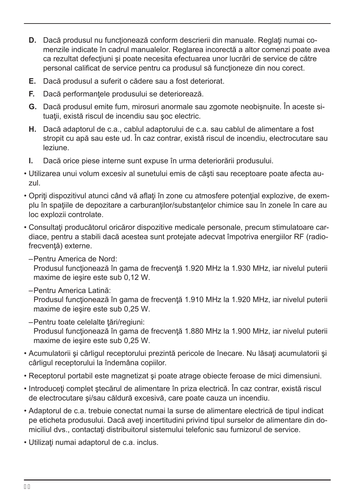- **D.** Dacă produsul nu functionează conform descrierii din manuale. Reglați numai comenzile indicate în cadrul manualelor. Reglarea incorectă a altor comenzi poate avea ca rezultat defecţiuni şi poate necesita efectuarea unor lucrări de service de către personal calificat de service pentru ca produsul să funcționeze din nou corect.
- **E.** Dacă produsul a suferit o cădere sau a fost deteriorat.
- **F.** Dacă performanțele produsului se deteriorează.
- **G.** Dacă produsul emite fum, mirosuri anormale sau zgomote neobişnuite. În aceste situații, există riscul de incendiu sau soc electric.
- **H.** Dacă adaptorul de c.a., cablul adaptorului de c.a. sau cablul de alimentare a fost stropit cu apă sau este ud. În caz contrar, există riscul de incendiu, electrocutare sau leziune.
- **I.** Dacă orice piese interne sunt expuse în urma deteriorării produsului.
- Utilizarea unui volum excesiv al sunetului emis de căşti sau receptoare poate afecta auzul.
- Opriti dispozitivul atunci când vă aflați în zone cu atmosfere potențial explozive, de exemplu în spațiile de depozitare a carburanților/substantelor chimice sau în zonele în care au loc explozii controlate.
- Consultati producătorul oricăror dispozitive medicale personale, precum stimulatoare cardiace, pentru a stabili dacă acestea sunt protejate adecvat împotriva energiilor RF (radiofrecvenţă) externe.
	- –Pentru America de Nord:

Produsul funcţionează în gama de frecvenţă 1.920 MHz la 1.930 MHz, iar nivelul puterii maxime de ieşire este sub 0,12 W.

–Pentru America Latină:

Produsul funcţionează în gama de frecvenţă 1.910 MHz la 1.920 MHz, iar nivelul puterii maxime de ieşire este sub 0,25 W.

- –Pentru toate celelalte ţări/regiuni: Produsul functionează în gama de frecventă 1.880 MHz la 1.900 MHz, iar nivelul puterii maxime de ieşire este sub 0,25 W.
- Acumulatorii şi cârligul receptorului prezintă pericole de înecare. Nu lăsaţi acumulatorii şi cârligul receptorului la îndemâna copiilor.
- Receptorul portabil este magnetizat şi poate atrage obiecte feroase de mici dimensiuni.
- Introduceţi complet ştecărul de alimentare în priza electrică. În caz contrar, există riscul de electrocutare şi/sau căldură excesivă, care poate cauza un incendiu.
- Adaptorul de c.a. trebuie conectat numai la surse de alimentare electrică de tipul indicat pe eticheta produsului. Dacă aveți incertitudini privind tipul surselor de alimentare din domiciliul dvs., contactaţi distribuitorul sistemului telefonic sau furnizorul de service.
- Utilizaţi numai adaptorul de c.a. inclus.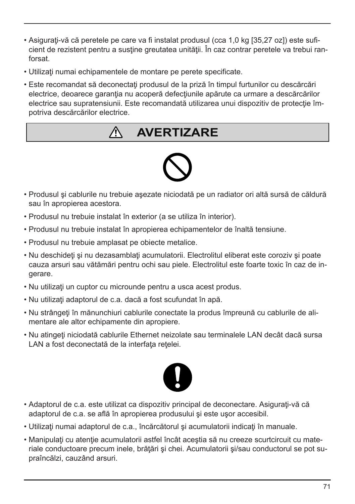- Asiguraţi-vă că peretele pe care va fi instalat produsul (cca 1,0 kg [35,27 oz]) este suficient de rezistent pentru a sustine greutatea unității. În caz contrar peretele va trebui ranforsat.
- Utilizaţi numai echipamentele de montare pe perete specificate.
- Este recomandat să deconectați produsul de la priză în timpul furtunilor cu descărcări electrice, deoarece garanția nu acoperă defecțiunile apărute ca urmare a descărcărilor electrice sau supratensiunii. Este recomandată utilizarea unui dispozitiv de protecție împotriva descărcărilor electrice.

# **AVERTIZARE**



- Produsul şi cablurile nu trebuie aşezate niciodată pe un radiator ori altă sursă de căldură sau în apropierea acestora.
- Produsul nu trebuie instalat în exterior (a se utiliza în interior).
- Produsul nu trebuie instalat în apropierea echipamentelor de înaltă tensiune.
- Produsul nu trebuie amplasat pe obiecte metalice.
- Nu deschideti si nu dezasamblati acumulatorii. Electrolitul eliberat este coroziv si poate cauza arsuri sau vătămări pentru ochi sau piele. Electrolitul este foarte toxic în caz de ingerare.
- Nu utilizaţi un cuptor cu microunde pentru a usca acest produs.
- Nu utilizati adaptorul de c.a. dacă a fost scufundat în apă.
- Nu strângeţi în mănunchiuri cablurile conectate la produs împreună cu cablurile de alimentare ale altor echipamente din apropiere.
- Nu atingeţi niciodată cablurile Ethernet neizolate sau terminalele LAN decât dacă sursa LAN a fost deconectată de la interfata retelei.



- Adaptorul de c.a. este utilizat ca dispozitiv principal de deconectare. Asiguraţi-vă că adaptorul de c.a. se află în apropierea produsului şi este uşor accesibil.
- Utilizati numai adaptorul de c.a., încărcătorul și acumulatorii indicati în manuale.
- Manipulați cu atenție acumulatorii astfel încât aceștia să nu creeze scurtcircuit cu materiale conductoare precum inele, brătări și chei. Acumulatorii și/sau conductorul se pot supraîncălzi, cauzând arsuri.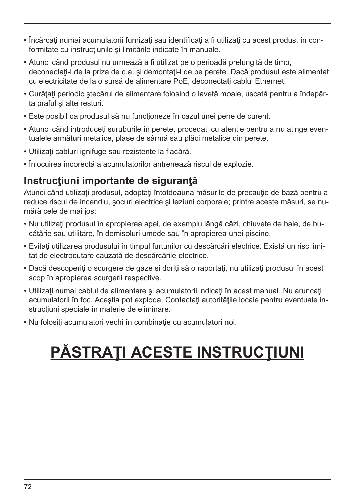- Încărcaţi numai acumulatorii furnizaţi sau identificaţi a fi utilizaţi cu acest produs, în conformitate cu instrucțiunile și limitările indicate în manuale.
- Atunci când produsul nu urmează a fi utilizat pe o perioadă prelungită de timp, deconectați-l de la priza de c.a. și demontați-l de pe perete. Dacă produsul este alimentat cu electricitate de la o sursă de alimentare PoE, deconectați cablul Ethernet.
- Curătați periodic stecărul de alimentare folosind o lavetă moale, uscată pentru a îndepărta praful şi alte resturi.
- Este posibil ca produsul să nu functioneze în cazul unei pene de curent.
- Atunci când introduceţi şuruburile în perete, procedaţi cu atenţie pentru a nu atinge eventualele armături metalice, plase de sârmă sau plăci metalice din perete.
- Utilizaţi cabluri ignifuge sau rezistente la flacără.
- Înlocuirea incorectă a acumulatorilor antrenează riscul de explozie.

#### **Instrucţiuni importante de siguranţă**

Atunci când utilizati produsul, adoptați întotdeauna măsurile de precauție de bază pentru a reduce riscul de incendiu, şocuri electrice şi leziuni corporale; printre aceste măsuri, se numără cele de mai jos:

- Nu utilizaţi produsul în apropierea apei, de exemplu lângă căzi, chiuvete de baie, de bucătărie sau utilitare, în demisoluri umede sau în apropierea unei piscine.
- Evitaţi utilizarea produsului în timpul furtunilor cu descărcări electrice. Există un risc limitat de electrocutare cauzată de descărcările electrice.
- Dacă descoperiți o scurgere de gaze și doriți să o raportați, nu utilizați produsul în acest scop în apropierea scurgerii respective.
- Utilizati numai cablul de alimentare și acumulatorii indicați în acest manual. Nu aruncați acumulatorii în foc. Acestia pot exploda. Contactați autoritățile locale pentru eventuale instructiuni speciale în materie de eliminare.
- Nu folosiţi acumulatori vechi în combinaţie cu acumulatori noi.

# **PĂSTRAŢI ACESTE INSTRUCŢIUNI**